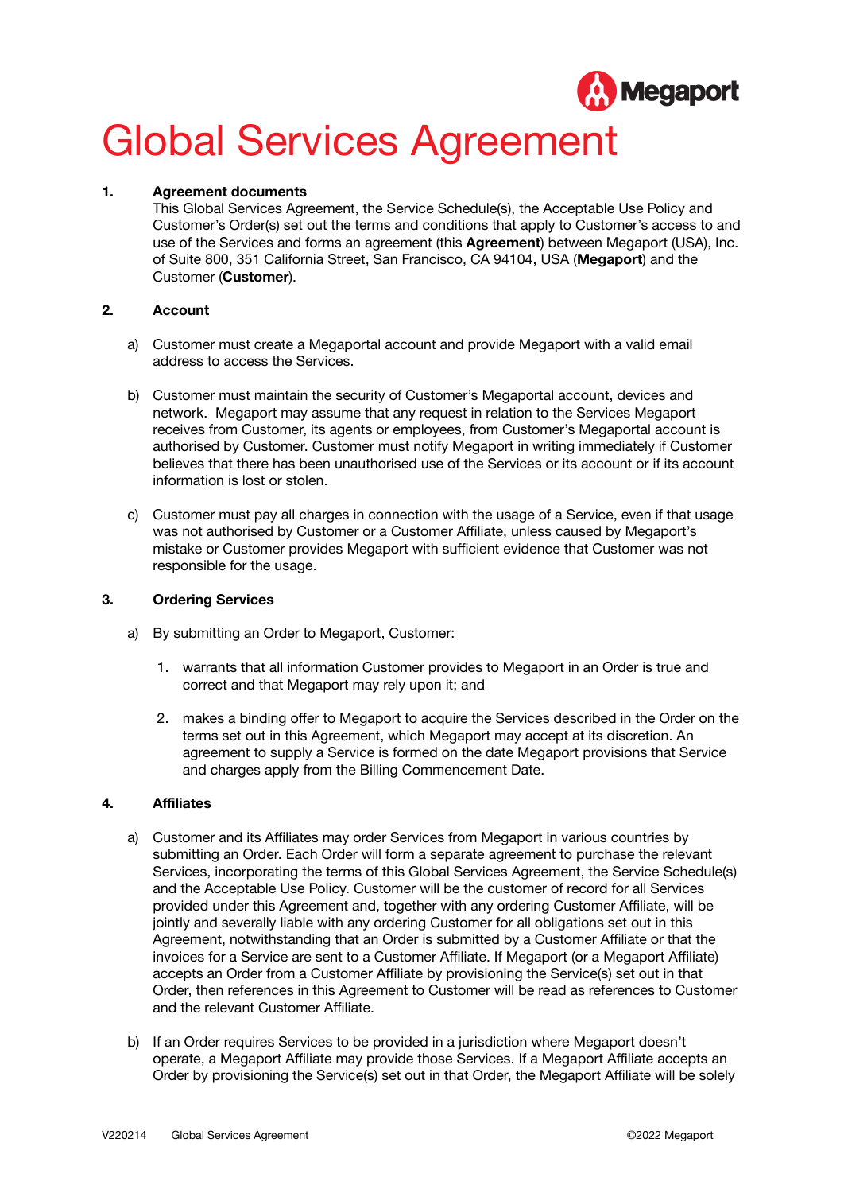

# Global Services Agreement

# **1. Agreement documents**

This Global Services Agreement, the Service Schedule(s), the Acceptable Use Policy and Customer's Order(s) set out the terms and conditions that apply to Customer's access to and use of the Services and forms an agreement (this **Agreement**) between Megaport (USA), Inc. of Suite 800, 351 California Street, San Francisco, CA 94104, USA (**Megaport**) and the Customer (**Customer**).

# **2. Account**

- a) Customer must create a Megaportal account and provide Megaport with a valid email address to access the Services.
- b) Customer must maintain the security of Customer's Megaportal account, devices and network. Megaport may assume that any request in relation to the Services Megaport receives from Customer, its agents or employees, from Customer's Megaportal account is authorised by Customer. Customer must notify Megaport in writing immediately if Customer believes that there has been unauthorised use of the Services or its account or if its account information is lost or stolen.
- c) Customer must pay all charges in connection with the usage of a Service, even if that usage was not authorised by Customer or a Customer Affiliate, unless caused by Megaport's mistake or Customer provides Megaport with sufficient evidence that Customer was not responsible for the usage.

# **3. Ordering Services**

- a) By submitting an Order to Megaport, Customer:
	- 1. warrants that all information Customer provides to Megaport in an Order is true and correct and that Megaport may rely upon it; and
	- 2. makes a binding offer to Megaport to acquire the Services described in the Order on the terms set out in this Agreement, which Megaport may accept at its discretion. An agreement to supply a Service is formed on the date Megaport provisions that Service and charges apply from the Billing Commencement Date.

# **4. Affiliates**

- a) Customer and its Affiliates may order Services from Megaport in various countries by submitting an Order. Each Order will form a separate agreement to purchase the relevant Services, incorporating the terms of this Global Services Agreement, the Service Schedule(s) and the Acceptable Use Policy. Customer will be the customer of record for all Services provided under this Agreement and, together with any ordering Customer Affiliate, will be jointly and severally liable with any ordering Customer for all obligations set out in this Agreement, notwithstanding that an Order is submitted by a Customer Affiliate or that the invoices for a Service are sent to a Customer Affiliate. If Megaport (or a Megaport Affiliate) accepts an Order from a Customer Affiliate by provisioning the Service(s) set out in that Order, then references in this Agreement to Customer will be read as references to Customer and the relevant Customer Affiliate.
- b) If an Order requires Services to be provided in a jurisdiction where Megaport doesn't operate, a Megaport Affiliate may provide those Services. If a Megaport Affiliate accepts an Order by provisioning the Service(s) set out in that Order, the Megaport Affiliate will be solely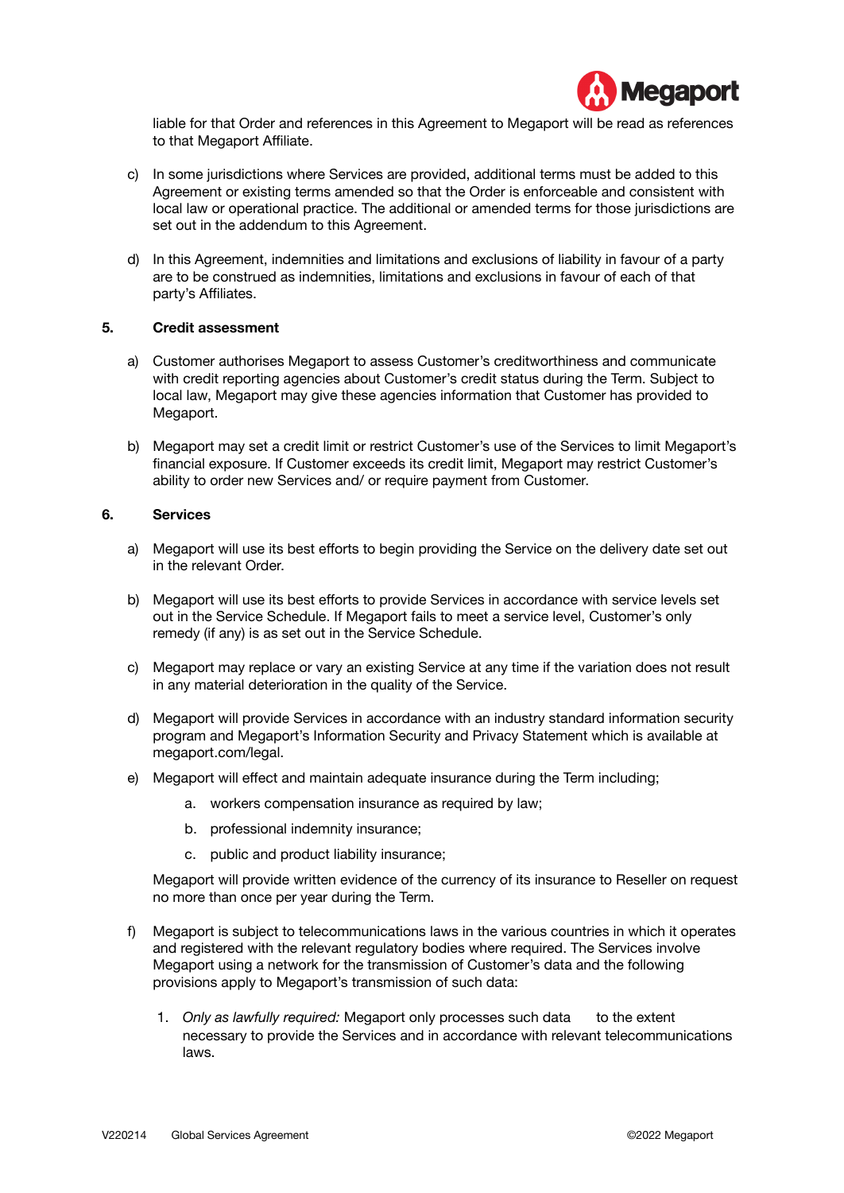

liable for that Order and references in this Agreement to Megaport will be read as references to that Megaport Affiliate.

- c) In some jurisdictions where Services are provided, additional terms must be added to this Agreement or existing terms amended so that the Order is enforceable and consistent with local law or operational practice. The additional or amended terms for those jurisdictions are set out in the addendum to this Agreement.
- d) In this Agreement, indemnities and limitations and exclusions of liability in favour of a party are to be construed as indemnities, limitations and exclusions in favour of each of that party's Affiliates.

# **5. Credit assessment**

- a) Customer authorises Megaport to assess Customer's creditworthiness and communicate with credit reporting agencies about Customer's credit status during the Term. Subject to local law, Megaport may give these agencies information that Customer has provided to Megaport.
- b) Megaport may set a credit limit or restrict Customer's use of the Services to limit Megaport's financial exposure. If Customer exceeds its credit limit, Megaport may restrict Customer's ability to order new Services and/ or require payment from Customer.

#### **6. Services**

- a) Megaport will use its best efforts to begin providing the Service on the delivery date set out in the relevant Order.
- b) Megaport will use its best efforts to provide Services in accordance with service levels set out in the Service Schedule. If Megaport fails to meet a service level, Customer's only remedy (if any) is as set out in the Service Schedule.
- c) Megaport may replace or vary an existing Service at any time if the variation does not result in any material deterioration in the quality of the Service.
- d) Megaport will provide Services in accordance with an industry standard information security program and Megaport's Information Security and Privacy Statement which is available at [megaport.com/legal.](https://www.megaport.com/legal/)
- e) Megaport will effect and maintain adequate insurance during the Term including;
	- a. workers compensation insurance as required by law;
	- b. professional indemnity insurance;
	- c. public and product liability insurance;

Megaport will provide written evidence of the currency of its insurance to Reseller on request no more than once per year during the Term.

- f) Megaport is subject to telecommunications laws in the various countries in which it operates and registered with the relevant regulatory bodies where required. The Services involve Megaport using a network for the transmission of Customer's data and the following provisions apply to Megaport's transmission of such data:
	- 1. *Only as lawfully required:* Megaport only processes such data to the extent necessary to provide the Services and in accordance with relevant telecommunications laws.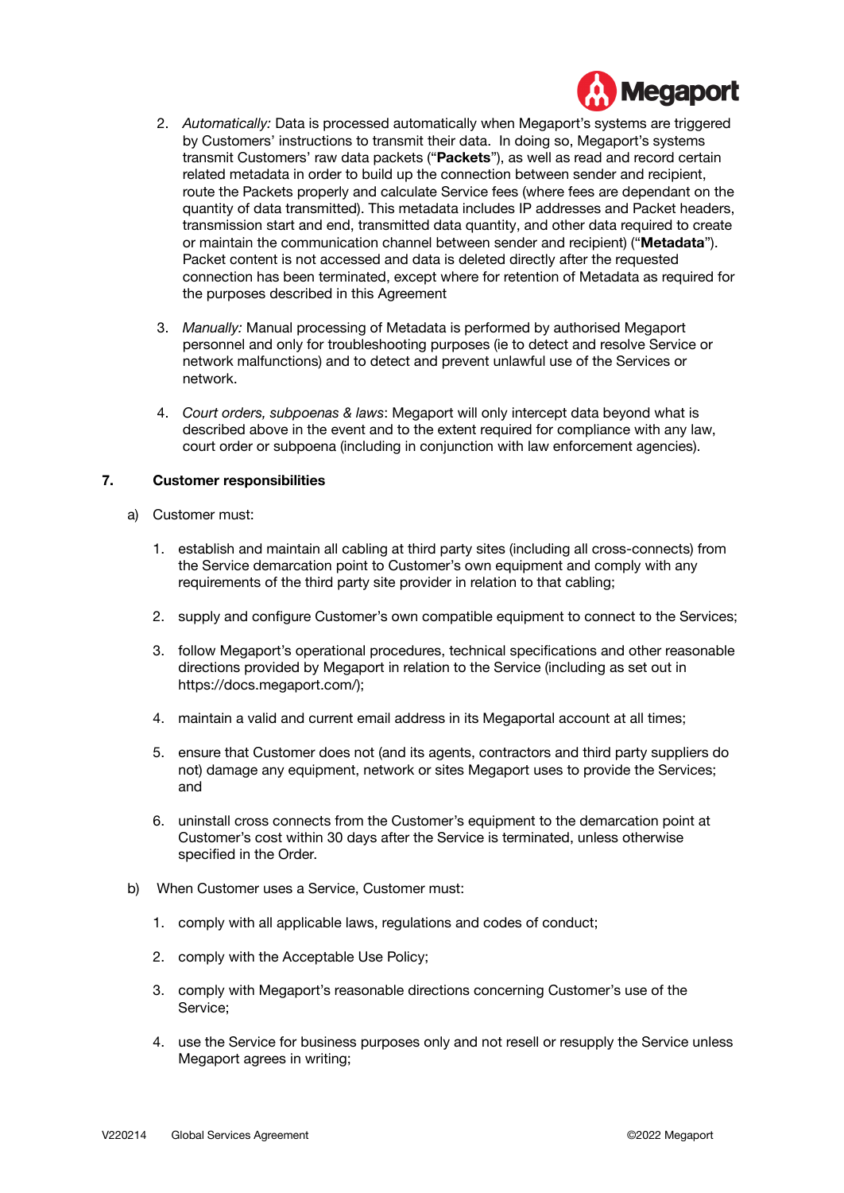

- 2. *Automatically:* Data is processed automatically when Megaport's systems are triggered by Customers' instructions to transmit their data. In doing so, Megaport's systems transmit Customers' raw data packets ("**Packets**"), as well as read and record certain related metadata in order to build up the connection between sender and recipient, route the Packets properly and calculate Service fees (where fees are dependant on the quantity of data transmitted). This metadata includes IP addresses and Packet headers, transmission start and end, transmitted data quantity, and other data required to create or maintain the communication channel between sender and recipient) ("**Metadata**"). Packet content is not accessed and data is deleted directly after the requested connection has been terminated, except where for retention of Metadata as required for the purposes described in this Agreement
- 3. *Manually:* Manual processing of Metadata is performed by authorised Megaport personnel and only for troubleshooting purposes (ie to detect and resolve Service or network malfunctions) and to detect and prevent unlawful use of the Services or network.
- 4. *Court orders, subpoenas & laws*: Megaport will only intercept data beyond what is described above in the event and to the extent required for compliance with any law, court order or subpoena (including in conjunction with law enforcement agencies).

# **7. Customer responsibilities**

- a) Customer must:
	- 1. establish and maintain all cabling at third party sites (including all cross-connects) from the Service demarcation point to Customer's own equipment and comply with any requirements of the third party site provider in relation to that cabling;
	- 2. supply and configure Customer's own compatible equipment to connect to the Services;
	- 3. follow Megaport's operational procedures, technical specifications and other reasonable directions provided by Megaport in relation to the Service (including as set out in https://docs.megaport.com/);
	- 4. maintain a valid and current email address in its Megaportal account at all times;
	- 5. ensure that Customer does not (and its agents, contractors and third party suppliers do not) damage any equipment, network or sites Megaport uses to provide the Services; and
	- 6. uninstall cross connects from the Customer's equipment to the demarcation point at Customer's cost within 30 days after the Service is terminated, unless otherwise specified in the Order.
- b) When Customer uses a Service, Customer must:
	- 1. comply with all applicable laws, regulations and codes of conduct;
	- 2. comply with the Acceptable Use Policy;
	- 3. comply with Megaport's reasonable directions concerning Customer's use of the Service;
	- 4. use the Service for business purposes only and not resell or resupply the Service unless Megaport agrees in writing;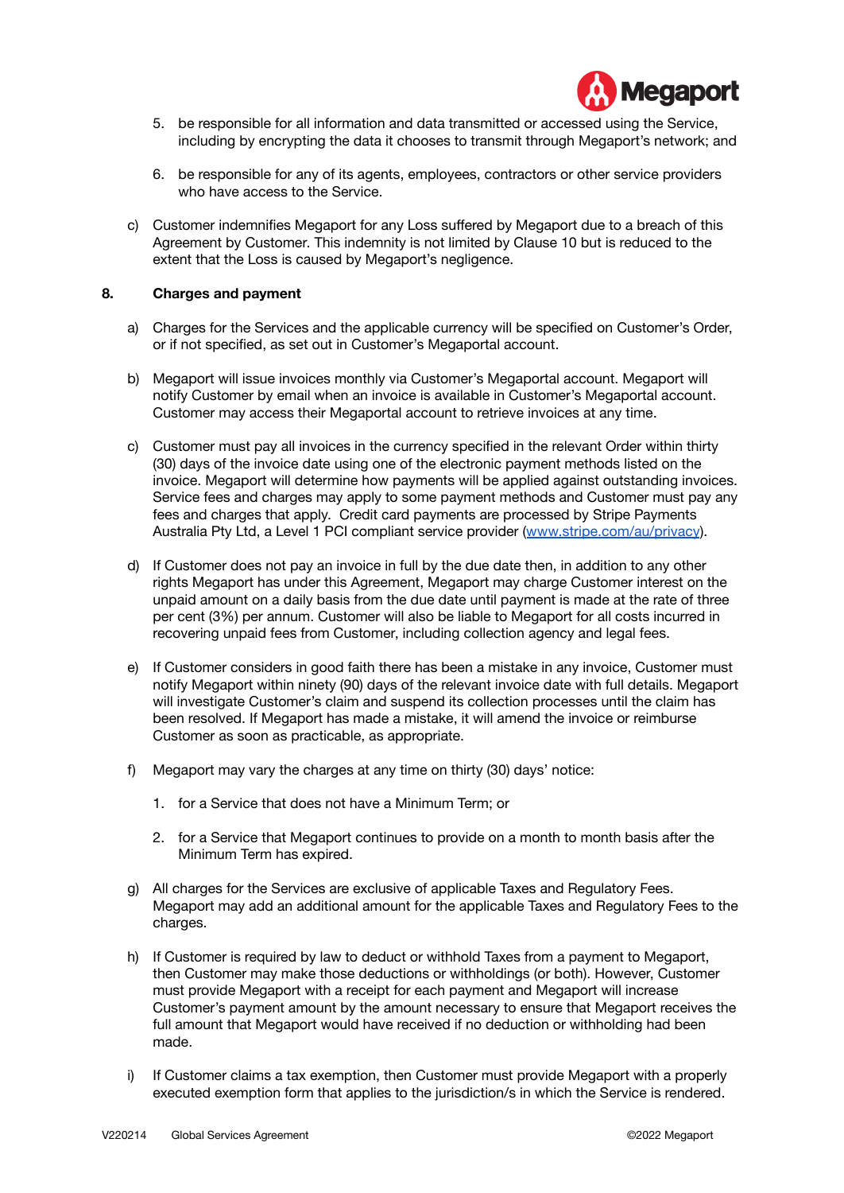

- 5. be responsible for all information and data transmitted or accessed using the Service, including by encrypting the data it chooses to transmit through Megaport's network; and
- 6. be responsible for any of its agents, employees, contractors or other service providers who have access to the Service.
- c) Customer indemnifies Megaport for any Loss suffered by Megaport due to a breach of this Agreement by Customer. This indemnity is not limited by Clause 10 but is reduced to the extent that the Loss is caused by Megaport's negligence.

# **8. Charges and payment**

- a) Charges for the Services and the applicable currency will be specified on Customer's Order, or if not specified, as set out in Customer's Megaportal account.
- b) Megaport will issue invoices monthly via Customer's Megaportal account. Megaport will notify Customer by email when an invoice is available in Customer's Megaportal account. Customer may access their Megaportal account to retrieve invoices at any time.
- c) Customer must pay all invoices in the currency specified in the relevant Order within thirty (30) days of the invoice date using one of the electronic payment methods listed on the invoice. Megaport will determine how payments will be applied against outstanding invoices. Service fees and charges may apply to some payment methods and Customer must pay any fees and charges that apply. Credit card payments are processed by Stripe Payments Australia Pty Ltd, a Level 1 PCI compliant service provider ([www.stripe.com/au/privacy](http://www.stripe.com/au/privacy)).
- d) If Customer does not pay an invoice in full by the due date then, in addition to any other rights Megaport has under this Agreement, Megaport may charge Customer interest on the unpaid amount on a daily basis from the due date until payment is made at the rate of three per cent (3%) per annum. Customer will also be liable to Megaport for all costs incurred in recovering unpaid fees from Customer, including collection agency and legal fees.
- e) If Customer considers in good faith there has been a mistake in any invoice, Customer must notify Megaport within ninety (90) days of the relevant invoice date with full details. Megaport will investigate Customer's claim and suspend its collection processes until the claim has been resolved. If Megaport has made a mistake, it will amend the invoice or reimburse Customer as soon as practicable, as appropriate.
- f) Megaport may vary the charges at any time on thirty (30) days' notice:
	- 1. for a Service that does not have a Minimum Term; or
	- 2. for a Service that Megaport continues to provide on a month to month basis after the Minimum Term has expired.
- g) All charges for the Services are exclusive of applicable Taxes and Regulatory Fees. Megaport may add an additional amount for the applicable Taxes and Regulatory Fees to the charges.
- h) If Customer is required by law to deduct or withhold Taxes from a payment to Megaport, then Customer may make those deductions or withholdings (or both). However, Customer must provide Megaport with a receipt for each payment and Megaport will increase Customer's payment amount by the amount necessary to ensure that Megaport receives the full amount that Megaport would have received if no deduction or withholding had been made.
- i) If Customer claims a tax exemption, then Customer must provide Megaport with a properly executed exemption form that applies to the jurisdiction/s in which the Service is rendered.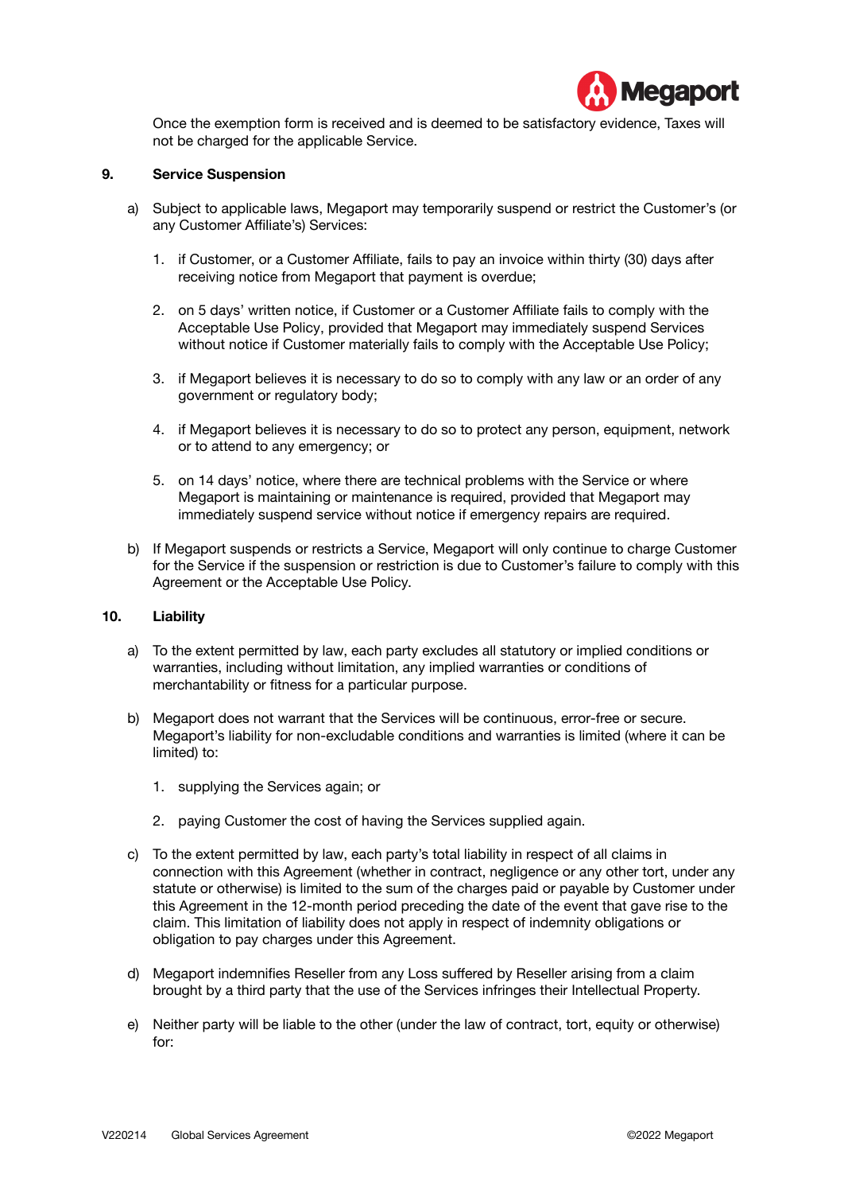

Once the exemption form is received and is deemed to be satisfactory evidence, Taxes will not be charged for the applicable Service.

### **9. Service Suspension**

- a) Subject to applicable laws, Megaport may temporarily suspend or restrict the Customer's (or any Customer Affiliate's) Services:
	- 1. if Customer, or a Customer Affiliate, fails to pay an invoice within thirty (30) days after receiving notice from Megaport that payment is overdue;
	- 2. on 5 days' written notice, if Customer or a Customer Affiliate fails to comply with the Acceptable Use Policy, provided that Megaport may immediately suspend Services without notice if Customer materially fails to comply with the Acceptable Use Policy;
	- 3. if Megaport believes it is necessary to do so to comply with any law or an order of any government or regulatory body;
	- 4. if Megaport believes it is necessary to do so to protect any person, equipment, network or to attend to any emergency; or
	- 5. on 14 days' notice, where there are technical problems with the Service or where Megaport is maintaining or maintenance is required, provided that Megaport may immediately suspend service without notice if emergency repairs are required.
- b) If Megaport suspends or restricts a Service, Megaport will only continue to charge Customer for the Service if the suspension or restriction is due to Customer's failure to comply with this Agreement or the Acceptable Use Policy.

# **10. Liability**

- a) To the extent permitted by law, each party excludes all statutory or implied conditions or warranties, including without limitation, any implied warranties or conditions of merchantability or fitness for a particular purpose.
- b) Megaport does not warrant that the Services will be continuous, error-free or secure. Megaport's liability for non-excludable conditions and warranties is limited (where it can be limited) to:
	- 1. supplying the Services again; or
	- 2. paying Customer the cost of having the Services supplied again.
- c) To the extent permitted by law, each party's total liability in respect of all claims in connection with this Agreement (whether in contract, negligence or any other tort, under any statute or otherwise) is limited to the sum of the charges paid or payable by Customer under this Agreement in the 12-month period preceding the date of the event that gave rise to the claim. This limitation of liability does not apply in respect of indemnity obligations or obligation to pay charges under this Agreement.
- d) Megaport indemnifies Reseller from any Loss suffered by Reseller arising from a claim brought by a third party that the use of the Services infringes their Intellectual Property.
- e) Neither party will be liable to the other (under the law of contract, tort, equity or otherwise) for: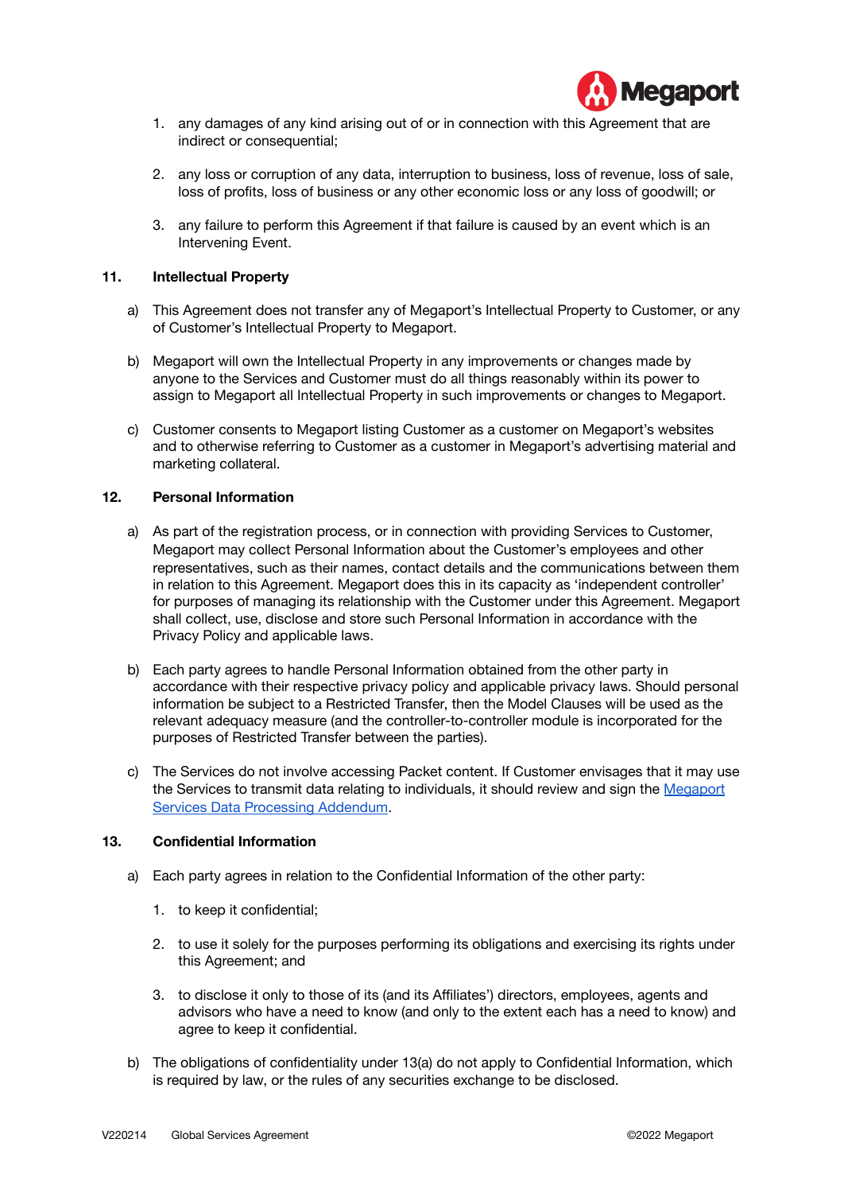

- 1. any damages of any kind arising out of or in connection with this Agreement that are indirect or consequential;
- 2. any loss or corruption of any data, interruption to business, loss of revenue, loss of sale, loss of profits, loss of business or any other economic loss or any loss of goodwill; or
- 3. any failure to perform this Agreement if that failure is caused by an event which is an Intervening Event.

# **11. Intellectual Property**

- a) This Agreement does not transfer any of Megaport's Intellectual Property to Customer, or any of Customer's Intellectual Property to Megaport.
- b) Megaport will own the Intellectual Property in any improvements or changes made by anyone to the Services and Customer must do all things reasonably within its power to assign to Megaport all Intellectual Property in such improvements or changes to Megaport.
- c) Customer consents to Megaport listing Customer as a customer on Megaport's websites and to otherwise referring to Customer as a customer in Megaport's advertising material and marketing collateral.

#### **12. Personal Information**

- a) As part of the registration process, or in connection with providing Services to Customer, Megaport may collect Personal Information about the Customer's employees and other representatives, such as their names, contact details and the communications between them in relation to this Agreement. Megaport does this in its capacity as 'independent controller' for purposes of managing its relationship with the Customer under this Agreement. Megaport shall collect, use, disclose and store such Personal Information in accordance with the Privacy Policy and applicable laws.
- b) Each party agrees to handle Personal Information obtained from the other party in accordance with their respective privacy policy and applicable privacy laws. Should personal information be subject to a Restricted Transfer, then the Model Clauses will be used as the relevant adequacy measure (and the controller-to-controller module is incorporated for the purposes of Restricted Transfer between the parties).
- c) The Services do not involve accessing Packet content. If Customer envisages that it may use the Services to transmit data relating to individuals, it should review and sign the [Megaport](https://www.megaport.com/wp-content/uploads/2021/05/Megaport_DPA.pdf) Services Data [Processing](https://www.megaport.com/wp-content/uploads/2021/05/Megaport_DPA.pdf) Addendum.

# **13. Confidential Information**

- a) Each party agrees in relation to the Confidential Information of the other party:
	- 1. to keep it confidential;
	- 2. to use it solely for the purposes performing its obligations and exercising its rights under this Agreement; and
	- 3. to disclose it only to those of its (and its Affiliates') directors, employees, agents and advisors who have a need to know (and only to the extent each has a need to know) and agree to keep it confidential.
- b) The obligations of confidentiality under 13(a) do not apply to Confidential Information, which is required by law, or the rules of any securities exchange to be disclosed.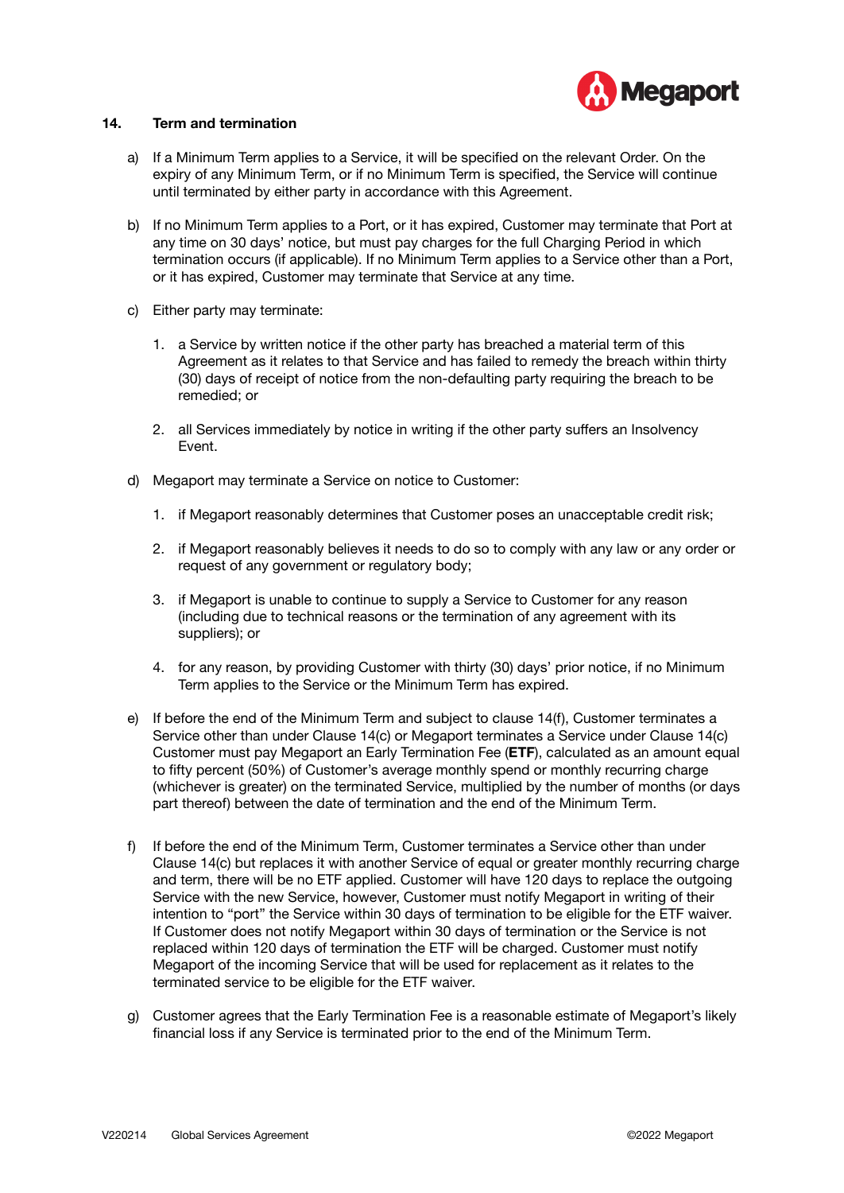

# **14. Term and termination**

- a) If a Minimum Term applies to a Service, it will be specified on the relevant Order. On the expiry of any Minimum Term, or if no Minimum Term is specified, the Service will continue until terminated by either party in accordance with this Agreement.
- b) If no Minimum Term applies to a Port, or it has expired, Customer may terminate that Port at any time on 30 days' notice, but must pay charges for the full Charging Period in which termination occurs (if applicable). If no Minimum Term applies to a Service other than a Port, or it has expired, Customer may terminate that Service at any time.
- c) Either party may terminate:
	- 1. a Service by written notice if the other party has breached a material term of this Agreement as it relates to that Service and has failed to remedy the breach within thirty (30) days of receipt of notice from the non-defaulting party requiring the breach to be remedied; or
	- 2. all Services immediately by notice in writing if the other party suffers an Insolvency Event.
- d) Megaport may terminate a Service on notice to Customer:
	- 1. if Megaport reasonably determines that Customer poses an unacceptable credit risk;
	- 2. if Megaport reasonably believes it needs to do so to comply with any law or any order or request of any government or regulatory body;
	- 3. if Megaport is unable to continue to supply a Service to Customer for any reason (including due to technical reasons or the termination of any agreement with its suppliers); or
	- 4. for any reason, by providing Customer with thirty (30) days' prior notice, if no Minimum Term applies to the Service or the Minimum Term has expired.
- e) If before the end of the Minimum Term and subject to clause 14(f), Customer terminates a Service other than under Clause 14(c) or Megaport terminates a Service under Clause 14(c) Customer must pay Megaport an Early Termination Fee (**ETF**), calculated as an amount equal to fifty percent (50%) of Customer's average monthly spend or monthly recurring charge (whichever is greater) on the terminated Service, multiplied by the number of months (or days part thereof) between the date of termination and the end of the Minimum Term.
- f) If before the end of the Minimum Term, Customer terminates a Service other than under Clause 14(c) but replaces it with another Service of equal or greater monthly recurring charge and term, there will be no ETF applied. Customer will have 120 days to replace the outgoing Service with the new Service, however, Customer must notify Megaport in writing of their intention to "port" the Service within 30 days of termination to be eligible for the ETF waiver. If Customer does not notify Megaport within 30 days of termination or the Service is not replaced within 120 days of termination the ETF will be charged. Customer must notify Megaport of the incoming Service that will be used for replacement as it relates to the terminated service to be eligible for the ETF waiver.
- g) Customer agrees that the Early Termination Fee is a reasonable estimate of Megaport's likely financial loss if any Service is terminated prior to the end of the Minimum Term.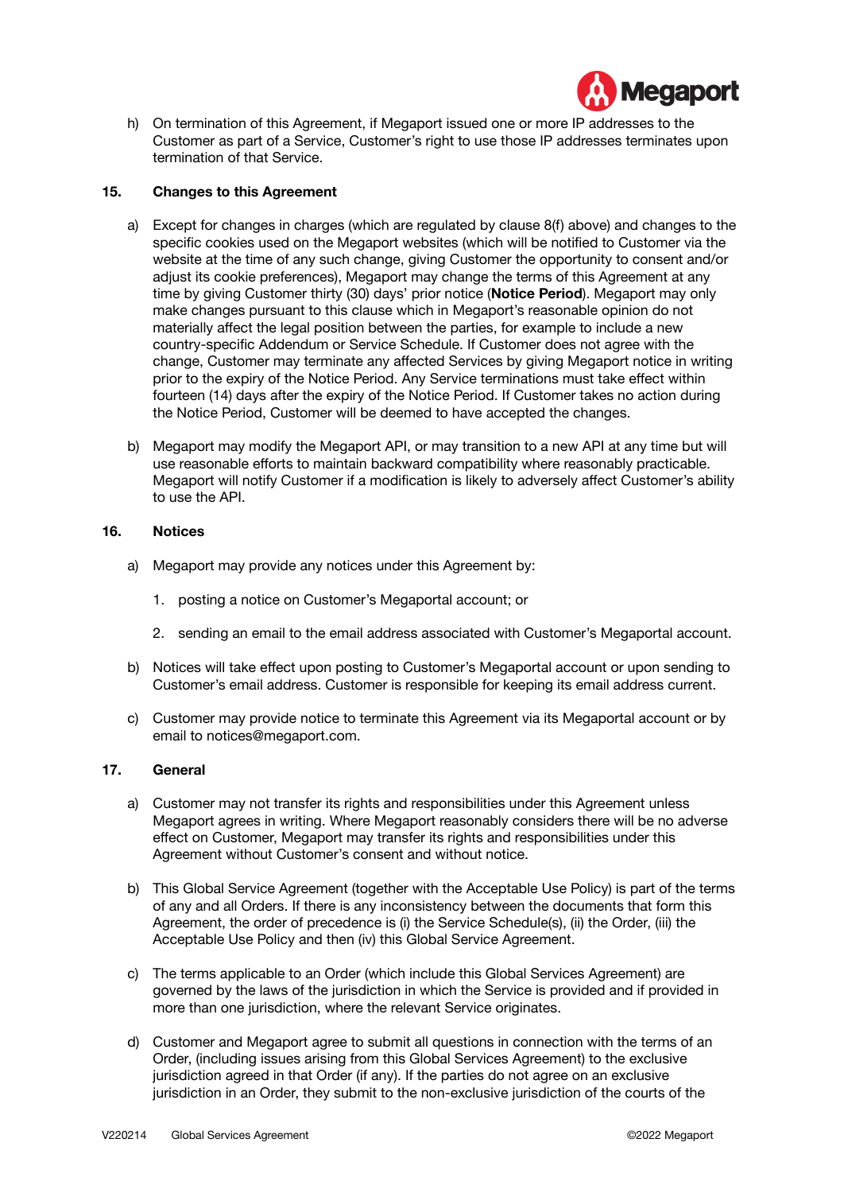

h) On termination of this Agreement, if Megaport issued one or more IP addresses to the Customer as part of a Service, Customer's right to use those IP addresses terminates upon termination of that Service.

# **15. Changes to this Agreement**

- a) Except for changes in charges (which are regulated by clause 8(f) above) and changes to the specific cookies used on the Megaport websites (which will be notified to Customer via the website at the time of any such change, giving Customer the opportunity to consent and/or adjust its cookie preferences), Megaport may change the terms of this Agreement at any time by giving Customer thirty (30) days' prior notice (**Notice Period**). Megaport may only make changes pursuant to this clause which in Megaport's reasonable opinion do not materially affect the legal position between the parties, for example to include a new country-specific Addendum or Service Schedule. If Customer does not agree with the change, Customer may terminate any affected Services by giving Megaport notice in writing prior to the expiry of the Notice Period. Any Service terminations must take effect within fourteen (14) days after the expiry of the Notice Period. If Customer takes no action during the Notice Period, Customer will be deemed to have accepted the changes.
- b) Megaport may modify the Megaport API, or may transition to a new API at any time but will use reasonable efforts to maintain backward compatibility where reasonably practicable. Megaport will notify Customer if a modification is likely to adversely affect Customer's ability to use the API.

# **16. Notices**

- a) Megaport may provide any notices under this Agreement by:
	- 1. posting a notice on Customer's Megaportal account; or
	- 2. sending an email to the email address associated with Customer's Megaportal account.
- b) Notices will take effect upon posting to Customer's Megaportal account or upon sending to Customer's email address. Customer is responsible for keeping its email address current.
- c) Customer may provide notice to terminate this Agreement via its Megaportal account or by email to notices@megaport.com.

# **17. General**

- a) Customer may not transfer its rights and responsibilities under this Agreement unless Megaport agrees in writing. Where Megaport reasonably considers there will be no adverse effect on Customer, Megaport may transfer its rights and responsibilities under this Agreement without Customer's consent and without notice.
- b) This Global Service Agreement (together with the Acceptable Use Policy) is part of the terms of any and all Orders. If there is any inconsistency between the documents that form this Agreement, the order of precedence is (i) the Service Schedule(s), (ii) the Order, (iii) the Acceptable Use Policy and then (iv) this Global Service Agreement.
- c) The terms applicable to an Order (which include this Global Services Agreement) are governed by the laws of the jurisdiction in which the Service is provided and if provided in more than one jurisdiction, where the relevant Service originates.
- d) Customer and Megaport agree to submit all questions in connection with the terms of an Order, (including issues arising from this Global Services Agreement) to the exclusive jurisdiction agreed in that Order (if any). If the parties do not agree on an exclusive jurisdiction in an Order, they submit to the non-exclusive jurisdiction of the courts of the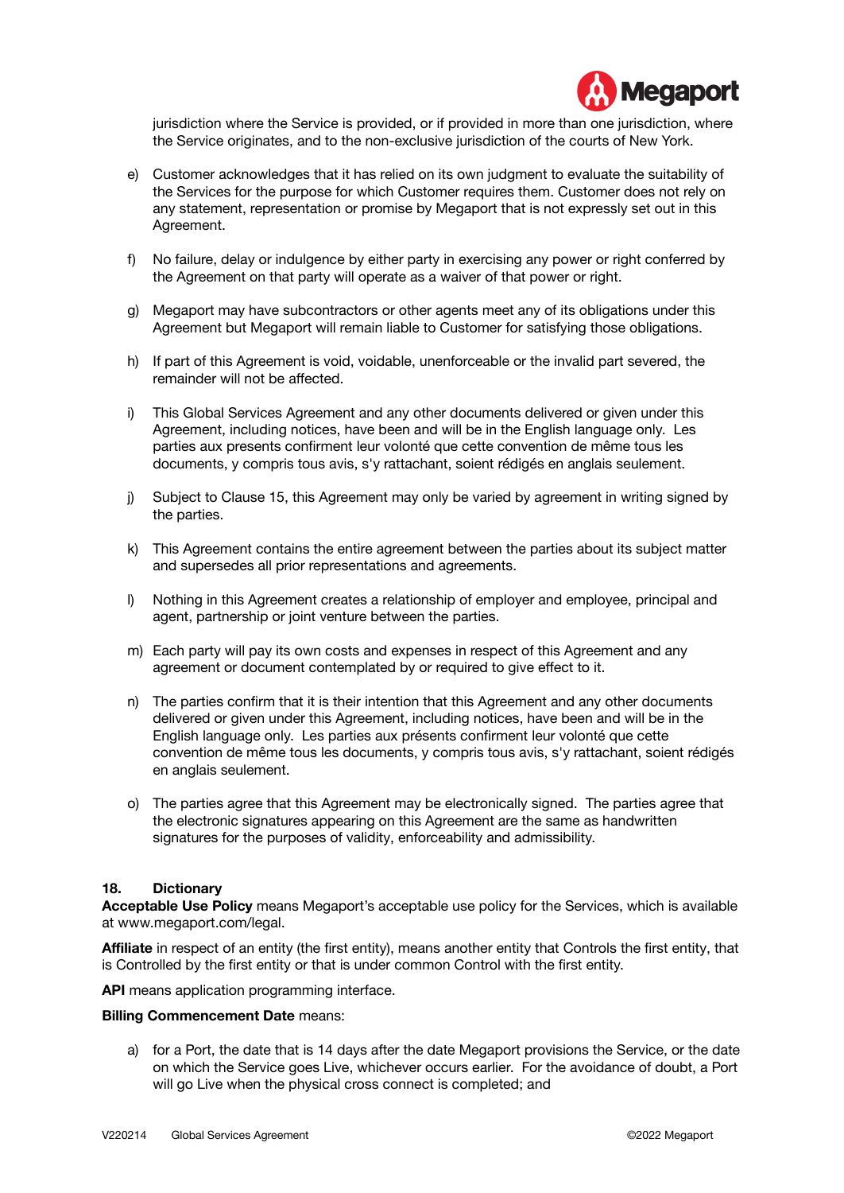

jurisdiction where the Service is provided, or if provided in more than one jurisdiction, where the Service originates, and to the non-exclusive jurisdiction of the courts of New York.

- e) Customer acknowledges that it has relied on its own judgment to evaluate the suitability of the Services for the purpose for which Customer requires them. Customer does not rely on any statement, representation or promise by Megaport that is not expressly set out in this Agreement.
- f) No failure, delay or indulgence by either party in exercising any power or right conferred by the Agreement on that party will operate as a waiver of that power or right.
- g) Megaport may have subcontractors or other agents meet any of its obligations under this Agreement but Megaport will remain liable to Customer for satisfying those obligations.
- h) If part of this Agreement is void, voidable, unenforceable or the invalid part severed, the remainder will not be affected.
- i) This Global Services Agreement and any other documents delivered or given under this Agreement, including notices, have been and will be in the English language only. Les parties aux presents confirment leur volonté que cette convention de même tous les documents, y compris tous avis, s'y rattachant, soient rédigés en anglais seulement.
- j) Subject to Clause 15, this Agreement may only be varied by agreement in writing signed by the parties.
- k) This Agreement contains the entire agreement between the parties about its subject matter and supersedes all prior representations and agreements.
- l) Nothing in this Agreement creates a relationship of employer and employee, principal and agent, partnership or joint venture between the parties.
- m) Each party will pay its own costs and expenses in respect of this Agreement and any agreement or document contemplated by or required to give effect to it.
- n) The parties confirm that it is their intention that this Agreement and any other documents delivered or given under this Agreement, including notices, have been and will be in the English language only. Les parties aux présents confirment leur volonté que cette convention de même tous les documents, y compris tous avis, s'y rattachant, soient rédigés en anglais seulement.
- o) The parties agree that this Agreement may be electronically signed. The parties agree that the electronic signatures appearing on this Agreement are the same as handwritten signatures for the purposes of validity, enforceability and admissibility.

# **18. Dictionary**

**Acceptable Use Policy** means Megaport's acceptable use policy for the Services, which is available at www.megaport.com/legal.

**Affiliate** in respect of an entity (the first entity), means another entity that Controls the first entity, that is Controlled by the first entity or that is under common Control with the first entity.

**API** means application programming interface.

### **Billing Commencement Date** means:

a) for a Port, the date that is 14 days after the date Megaport provisions the Service, or the date on which the Service goes Live, whichever occurs earlier. For the avoidance of doubt, a Port will go Live when the physical cross connect is completed; and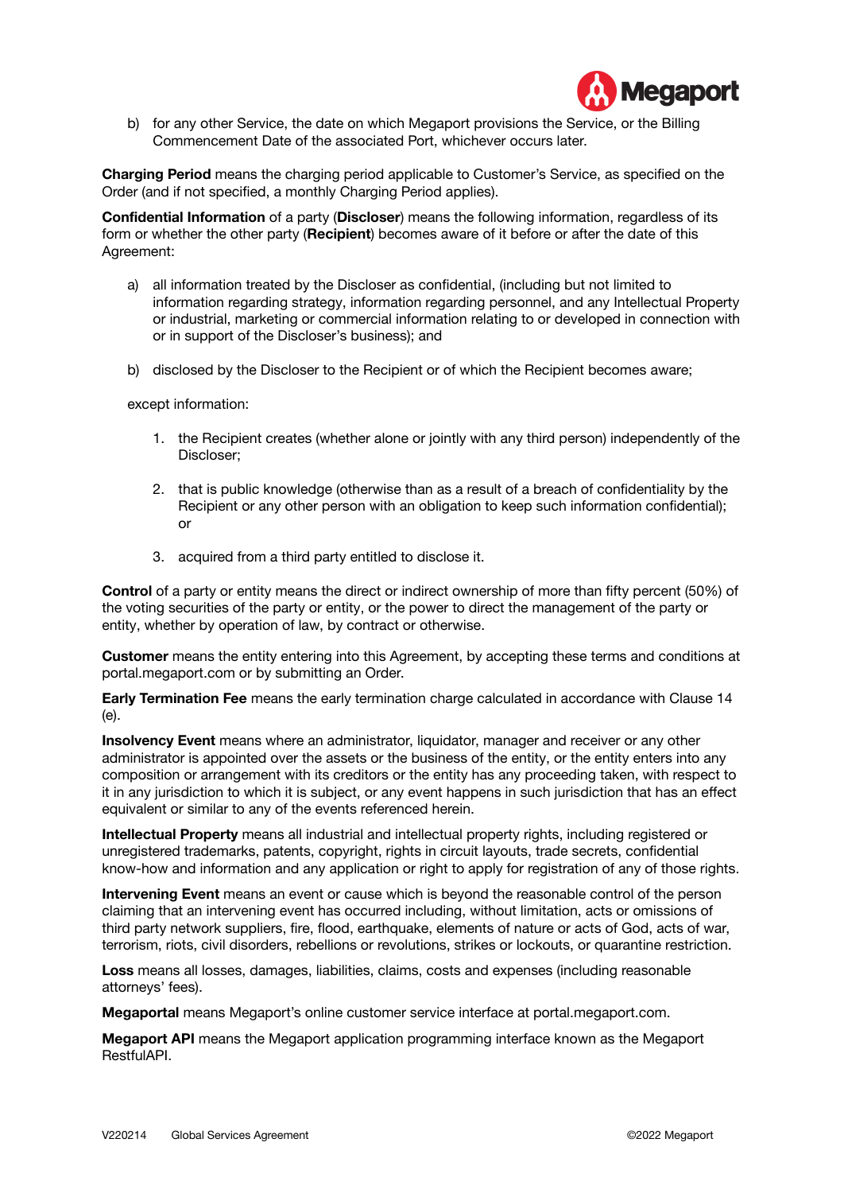

b) for any other Service, the date on which Megaport provisions the Service, or the Billing Commencement Date of the associated Port, whichever occurs later.

**Charging Period** means the charging period applicable to Customer's Service, as specified on the Order (and if not specified, a monthly Charging Period applies).

**Confidential Information** of a party (**Discloser**) means the following information, regardless of its form or whether the other party (**Recipient**) becomes aware of it before or after the date of this Agreement:

- a) all information treated by the Discloser as confidential, (including but not limited to information regarding strategy, information regarding personnel, and any Intellectual Property or industrial, marketing or commercial information relating to or developed in connection with or in support of the Discloser's business); and
- b) disclosed by the Discloser to the Recipient or of which the Recipient becomes aware;

except information:

- 1. the Recipient creates (whether alone or jointly with any third person) independently of the Discloser;
- 2. that is public knowledge (otherwise than as a result of a breach of confidentiality by the Recipient or any other person with an obligation to keep such information confidential); or
- 3. acquired from a third party entitled to disclose it.

**Control** of a party or entity means the direct or indirect ownership of more than fifty percent (50%) of the voting securities of the party or entity, or the power to direct the management of the party or entity, whether by operation of law, by contract or otherwise.

**Customer** means the entity entering into this Agreement, by accepting these terms and conditions at portal.megaport.com or by submitting an Order.

**Early Termination Fee** means the early termination charge calculated in accordance with Clause 14 (e).

**Insolvency Event** means where an administrator, liquidator, manager and receiver or any other administrator is appointed over the assets or the business of the entity, or the entity enters into any composition or arrangement with its creditors or the entity has any proceeding taken, with respect to it in any jurisdiction to which it is subject, or any event happens in such jurisdiction that has an effect equivalent or similar to any of the events referenced herein.

**Intellectual Property** means all industrial and intellectual property rights, including registered or unregistered trademarks, patents, copyright, rights in circuit layouts, trade secrets, confidential know-how and information and any application or right to apply for registration of any of those rights.

**Intervening Event** means an event or cause which is beyond the reasonable control of the person claiming that an intervening event has occurred including, without limitation, acts or omissions of third party network suppliers, fire, flood, earthquake, elements of nature or acts of God, acts of war, terrorism, riots, civil disorders, rebellions or revolutions, strikes or lockouts, or quarantine restriction.

**Loss** means all losses, damages, liabilities, claims, costs and expenses (including reasonable attorneys' fees).

**Megaportal** means Megaport's online customer service interface at portal.megaport.com.

**Megaport API** means the Megaport application programming interface known as the Megaport RestfulAPI.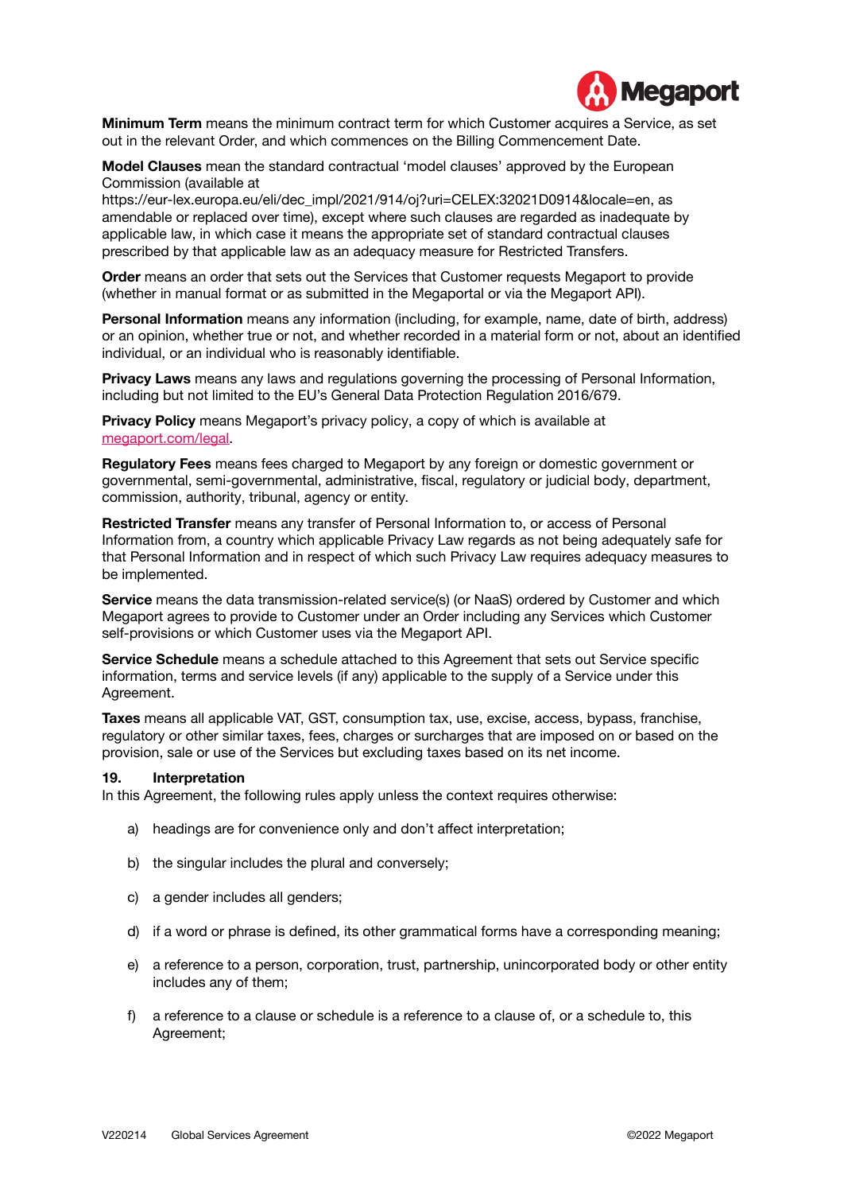

**Minimum Term** means the minimum contract term for which Customer acquires a Service, as set out in the relevant Order, and which commences on the Billing Commencement Date.

**Model Clauses** mean the standard contractual 'model clauses' approved by the European Commission (available at

[https://eur-lex.europa.eu/eli/dec\\_impl/2021/914/oj?uri=CELEX:32021D0914&locale=en](https://eur-lex.europa.eu/eli/dec_impl/2021/914/oj?uri=CELEX:32021D0914&locale=en), as amendable or replaced over time), except where such clauses are regarded as inadequate by applicable law, in which case it means the appropriate set of standard contractual clauses prescribed by that applicable law as an adequacy measure for Restricted Transfers.

**Order** means an order that sets out the Services that Customer requests Megaport to provide (whether in manual format or as submitted in the Megaportal or via the Megaport API).

**Personal Information** means any information (including, for example, name, date of birth, address) or an opinion, whether true or not, and whether recorded in a material form or not, about an identified individual, or an individual who is reasonably identifiable.

**Privacy Laws** means any laws and regulations governing the processing of Personal Information, including but not limited to the EU's General Data Protection Regulation 2016/679.

**Privacy Policy** means Megaport's privacy policy, a copy of which is available at [megaport.com/legal.](http://www.megaport.com/legal)

**Regulatory Fees** means fees charged to Megaport by any foreign or domestic government or governmental, semi-governmental, administrative, fiscal, regulatory or judicial body, department, commission, authority, tribunal, agency or entity.

**Restricted Transfer** means any transfer of Personal Information to, or access of Personal Information from, a country which applicable Privacy Law regards as not being adequately safe for that Personal Information and in respect of which such Privacy Law requires adequacy measures to be implemented.

**Service** means the data transmission-related service(s) (or NaaS) ordered by Customer and which Megaport agrees to provide to Customer under an Order including any Services which Customer self-provisions or which Customer uses via the Megaport API.

**Service Schedule** means a schedule attached to this Agreement that sets out Service specific information, terms and service levels (if any) applicable to the supply of a Service under this Agreement.

**Taxes** means all applicable VAT, GST, consumption tax, use, excise, access, bypass, franchise, regulatory or other similar taxes, fees, charges or surcharges that are imposed on or based on the provision, sale or use of the Services but excluding taxes based on its net income.

#### **19. Interpretation**

In this Agreement, the following rules apply unless the context requires otherwise:

- a) headings are for convenience only and don't affect interpretation;
- b) the singular includes the plural and conversely;
- c) a gender includes all genders:
- d) if a word or phrase is defined, its other grammatical forms have a corresponding meaning;
- e) a reference to a person, corporation, trust, partnership, unincorporated body or other entity includes any of them;
- f) a reference to a clause or schedule is a reference to a clause of, or a schedule to, this Agreement;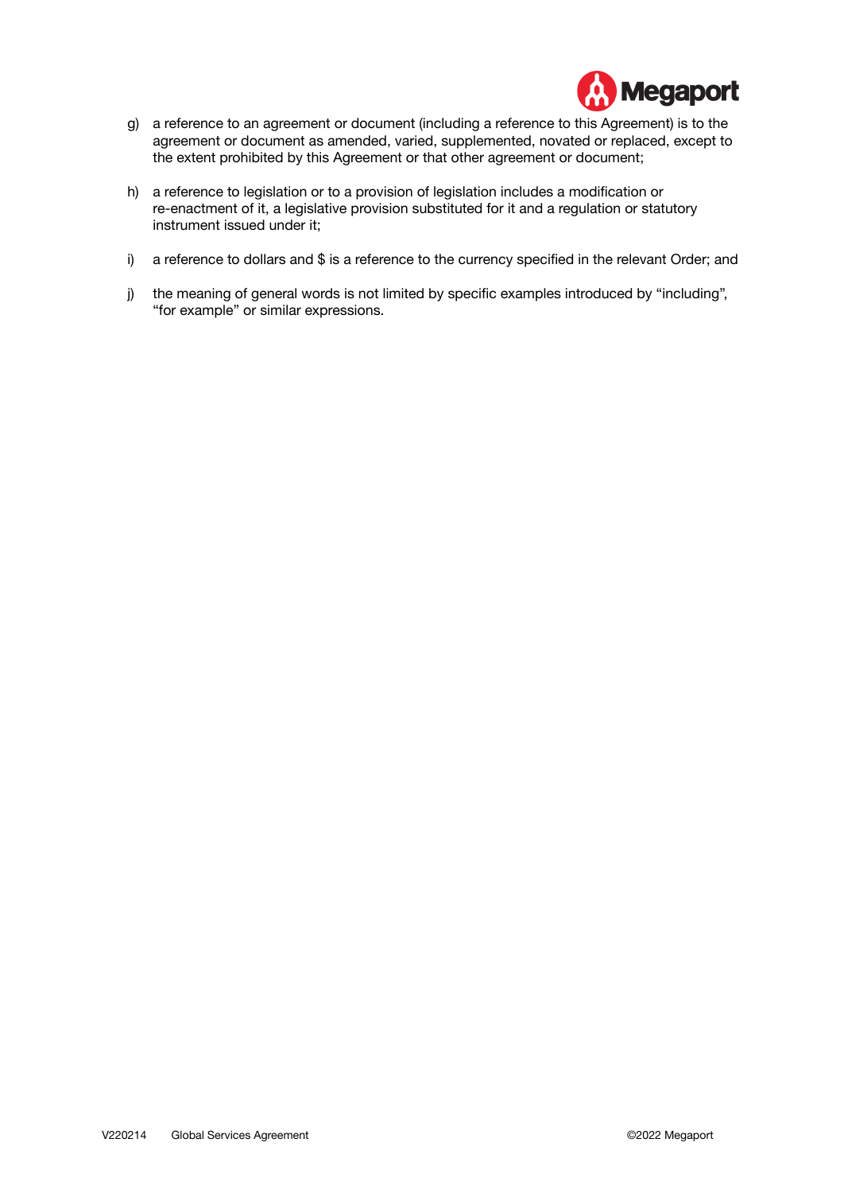

- g) a reference to an agreement or document (including a reference to this Agreement) is to the agreement or document as amended, varied, supplemented, novated or replaced, except to the extent prohibited by this Agreement or that other agreement or document;
- h) a reference to legislation or to a provision of legislation includes a modification or re-enactment of it, a legislative provision substituted for it and a regulation or statutory instrument issued under it;
- i) a reference to dollars and \$ is a reference to the currency specified in the relevant Order; and
- j) the meaning of general words is not limited by specific examples introduced by "including", "for example" or similar expressions.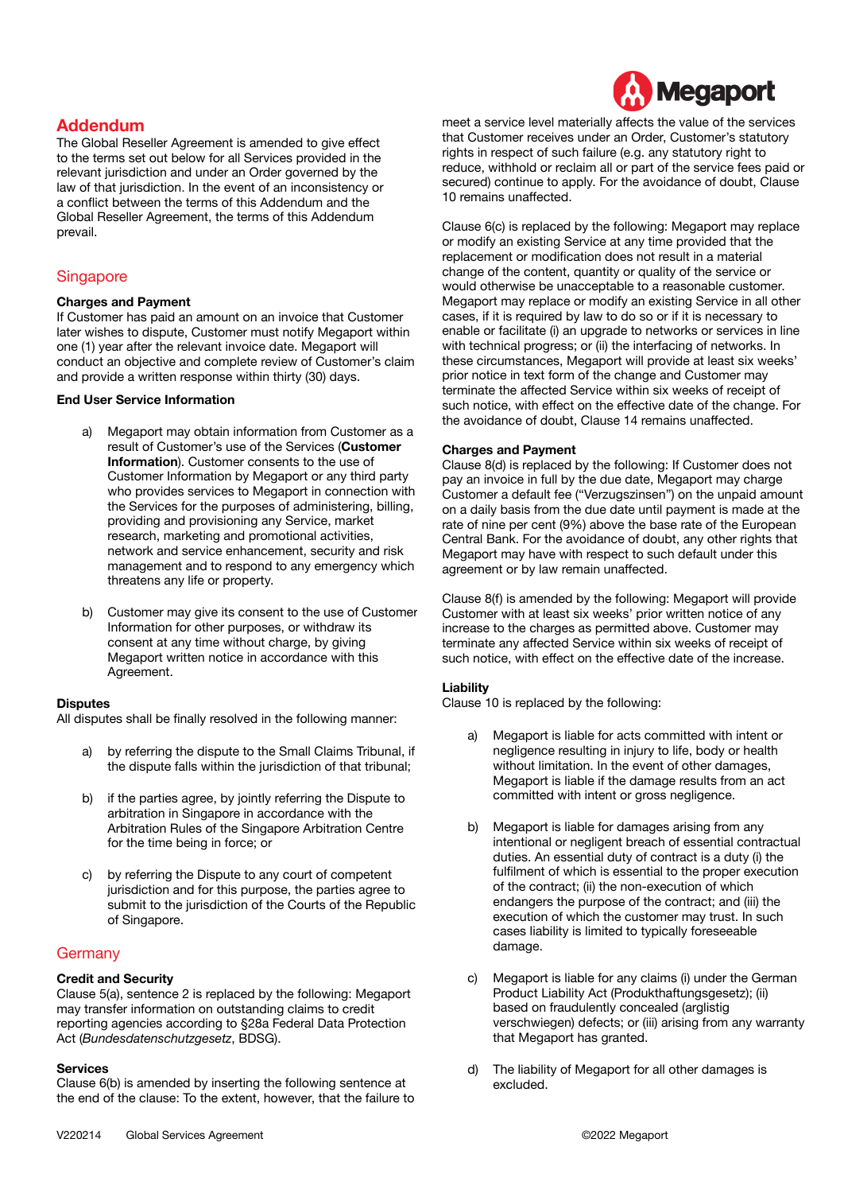

# **Addendum**

The Global Reseller Agreement is amended to give effect to the terms set out below for all Services provided in the relevant jurisdiction and under an Order governed by the law of that jurisdiction. In the event of an inconsistency or a conflict between the terms of this Addendum and the Global Reseller Agreement, the terms of this Addendum prevail.

# **Singapore**

#### **Charges and Payment**

If Customer has paid an amount on an invoice that Customer later wishes to dispute, Customer must notify Megaport within one (1) year after the relevant invoice date. Megaport will conduct an objective and complete review of Customer's claim and provide a written response within thirty (30) days.

#### **End User Service Information**

- a) Megaport may obtain information from Customer as a result of Customer's use of the Services (**Customer Information**). Customer consents to the use of Customer Information by Megaport or any third party who provides services to Megaport in connection with the Services for the purposes of administering, billing, providing and provisioning any Service, market research, marketing and promotional activities, network and service enhancement, security and risk management and to respond to any emergency which threatens any life or property.
- b) Customer may give its consent to the use of Customer Information for other purposes, or withdraw its consent at any time without charge, by giving Megaport written notice in accordance with this Agreement.

#### **Disputes**

All disputes shall be finally resolved in the following manner:

- a) by referring the dispute to the Small Claims Tribunal, if the dispute falls within the jurisdiction of that tribunal;
- b) if the parties agree, by jointly referring the Dispute to arbitration in Singapore in accordance with the Arbitration Rules of the Singapore Arbitration Centre for the time being in force; or
- c) by referring the Dispute to any court of competent jurisdiction and for this purpose, the parties agree to submit to the jurisdiction of the Courts of the Republic of Singapore.

# **Germany**

# **Credit and Security**

Clause 5(a), sentence 2 is replaced by the following: Megaport may transfer information on outstanding claims to credit reporting agencies according to §28a Federal Data Protection Act (*Bundesdatenschutzgesetz*, BDSG).

#### **Services**

Clause 6(b) is amended by inserting the following sentence at the end of the clause: To the extent, however, that the failure to Clause 6(c) is replaced by the following: Megaport may replace or modify an existing Service at any time provided that the replacement or modification does not result in a material change of the content, quantity or quality of the service or would otherwise be unacceptable to a reasonable customer. Megaport may replace or modify an existing Service in all other cases, if it is required by law to do so or if it is necessary to enable or facilitate (i) an upgrade to networks or services in line with technical progress; or (ii) the interfacing of networks. In these circumstances, Megaport will provide at least six weeks' prior notice in text form of the change and Customer may terminate the affected Service within six weeks of receipt of such notice, with effect on the effective date of the change. For the avoidance of doubt, Clause 14 remains unaffected.

#### **Charges and Payment**

Clause 8(d) is replaced by the following: If Customer does not pay an invoice in full by the due date, Megaport may charge Customer a default fee ("Verzugszinsen") on the unpaid amount on a daily basis from the due date until payment is made at the rate of nine per cent (9%) above the base rate of the European Central Bank. For the avoidance of doubt, any other rights that Megaport may have with respect to such default under this agreement or by law remain unaffected.

Clause 8(f) is amended by the following: Megaport will provide Customer with at least six weeks' prior written notice of any increase to the charges as permitted above. Customer may terminate any affected Service within six weeks of receipt of such notice, with effect on the effective date of the increase.

# **Liability**

Clause 10 is replaced by the following:

- a) Megaport is liable for acts committed with intent or negligence resulting in injury to life, body or health without limitation. In the event of other damages, Megaport is liable if the damage results from an act committed with intent or gross negligence.
- b) Megaport is liable for damages arising from any intentional or negligent breach of essential contractual duties. An essential duty of contract is a duty (i) the fulfilment of which is essential to the proper execution of the contract; (ii) the non-execution of which endangers the purpose of the contract; and (iii) the execution of which the customer may trust. In such cases liability is limited to typically foreseeable damage.
- c) Megaport is liable for any claims (i) under the German Product Liability Act (Produkthaftungsgesetz); (ii) based on fraudulently concealed (arglistig verschwiegen) defects; or (iii) arising from any warranty that Megaport has granted.
- d) The liability of Megaport for all other damages is excluded.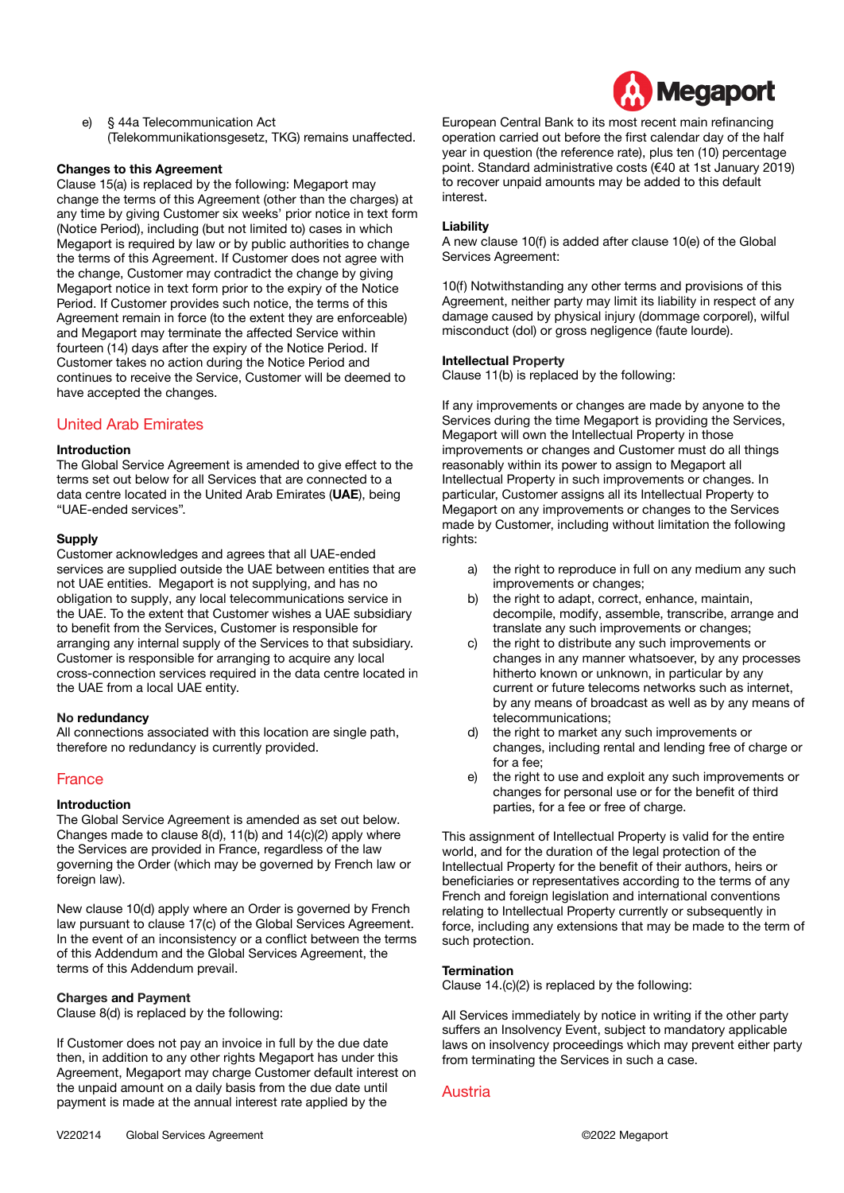e) § 44a Telecommunication Act (Telekommunikationsgesetz, TKG) remains unaffected.

#### **Changes to this Agreement**

Clause 15(a) is replaced by the following: Megaport may change the terms of this Agreement (other than the charges) at any time by giving Customer six weeks' prior notice in text form (Notice Period), including (but not limited to) cases in which Megaport is required by law or by public authorities to change the terms of this Agreement. If Customer does not agree with the change, Customer may contradict the change by giving Megaport notice in text form prior to the expiry of the Notice Period. If Customer provides such notice, the terms of this Agreement remain in force (to the extent they are enforceable) and Megaport may terminate the affected Service within fourteen (14) days after the expiry of the Notice Period. If Customer takes no action during the Notice Period and continues to receive the Service, Customer will be deemed to have accepted the changes.

# United Arab Emirates

#### **Introduction**

The Global Service Agreement is amended to give effect to the terms set out below for all Services that are connected to a data centre located in the United Arab Emirates (**UAE**), being "UAE-ended services".

#### **Supply**

Customer acknowledges and agrees that all UAE-ended services are supplied outside the UAE between entities that are not UAE entities. Megaport is not supplying, and has no obligation to supply, any local telecommunications service in the UAE. To the extent that Customer wishes a UAE subsidiary to benefit from the Services, Customer is responsible for arranging any internal supply of the Services to that subsidiary. Customer is responsible for arranging to acquire any local cross-connection services required in the data centre located in the UAE from a local UAE entity.

#### **No redundancy**

All connections associated with this location are single path, therefore no redundancy is currently provided.

# France

#### **Introduction**

The Global Service Agreement is amended as set out below. Changes made to clause 8(d), 11(b) and 14(c)(2) apply where the Services are provided in France, regardless of the law governing the Order (which may be governed by French law or foreign law).

New clause 10(d) apply where an Order is governed by French law pursuant to clause 17(c) of the Global Services Agreement. In the event of an inconsistency or a conflict between the terms of this Addendum and the Global Services Agreement, the terms of this Addendum prevail.

#### **Charges and Payment**

Clause 8(d) is replaced by the following:

If Customer does not pay an invoice in full by the due date then, in addition to any other rights Megaport has under this Agreement, Megaport may charge Customer default interest on the unpaid amount on a daily basis from the due date until payment is made at the annual interest rate applied by the



European Central Bank to its most recent main refinancing operation carried out before the first calendar day of the half year in question (the reference rate), plus ten (10) percentage point. Standard administrative costs (€40 at 1st January 2019) to recover unpaid amounts may be added to this default interest.

#### **Liability**

A new clause 10(f) is added after clause 10(e) of the Global Services Agreement:

10(f) Notwithstanding any other terms and provisions of this Agreement, neither party may limit its liability in respect of any damage caused by physical injury (dommage corporel), wilful misconduct (dol) or gross negligence (faute lourde).

#### **Intellectual Property**

Clause 11(b) is replaced by the following:

If any improvements or changes are made by anyone to the Services during the time Megaport is providing the Services, Megaport will own the Intellectual Property in those improvements or changes and Customer must do all things reasonably within its power to assign to Megaport all Intellectual Property in such improvements or changes. In particular, Customer assigns all its Intellectual Property to Megaport on any improvements or changes to the Services made by Customer, including without limitation the following rights:

- a) the right to reproduce in full on any medium any such improvements or changes;
- b) the right to adapt, correct, enhance, maintain, decompile, modify, assemble, transcribe, arrange and translate any such improvements or changes;
- c) the right to distribute any such improvements or changes in any manner whatsoever, by any processes hitherto known or unknown, in particular by any current or future telecoms networks such as internet, by any means of broadcast as well as by any means of telecommunications;
- d) the right to market any such improvements or changes, including rental and lending free of charge or for a fee;
- e) the right to use and exploit any such improvements or changes for personal use or for the benefit of third parties, for a fee or free of charge.

This assignment of Intellectual Property is valid for the entire world, and for the duration of the legal protection of the Intellectual Property for the benefit of their authors, heirs or beneficiaries or representatives according to the terms of any French and foreign legislation and international conventions relating to Intellectual Property currently or subsequently in force, including any extensions that may be made to the term of such protection.

#### **Termination**

Clause 14.(c)(2) is replaced by the following:

All Services immediately by notice in writing if the other party suffers an Insolvency Event, subject to mandatory applicable laws on insolvency proceedings which may prevent either party from terminating the Services in such a case.

# Austria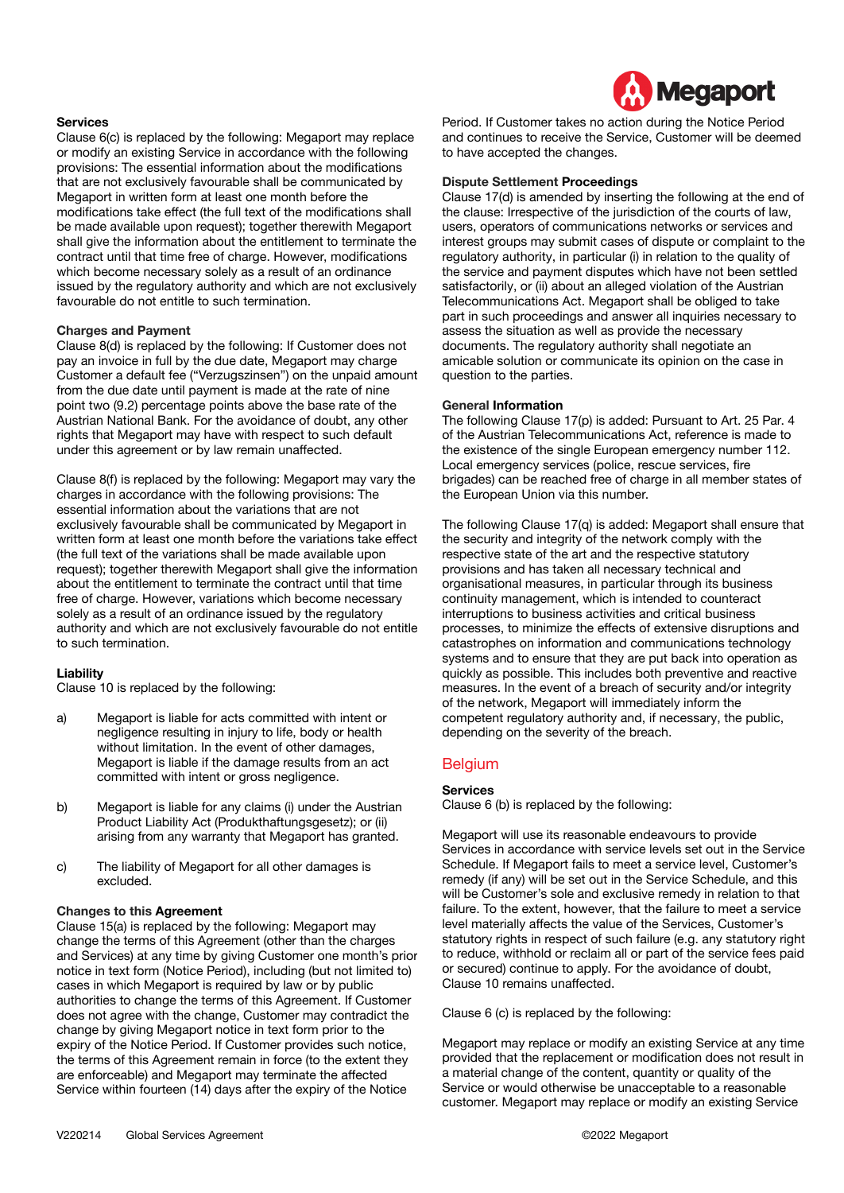

#### **Services**

Clause 6(c) is replaced by the following: Megaport may replace or modify an existing Service in accordance with the following provisions: The essential information about the modifications that are not exclusively favourable shall be communicated by Megaport in written form at least one month before the modifications take effect (the full text of the modifications shall be made available upon request); together therewith Megaport shall give the information about the entitlement to terminate the contract until that time free of charge. However, modifications which become necessary solely as a result of an ordinance issued by the regulatory authority and which are not exclusively favourable do not entitle to such termination.

#### **Charges and Payment**

Clause 8(d) is replaced by the following: If Customer does not pay an invoice in full by the due date, Megaport may charge Customer a default fee ("Verzugszinsen") on the unpaid amount from the due date until payment is made at the rate of nine point two (9.2) percentage points above the base rate of the Austrian National Bank. For the avoidance of doubt, any other rights that Megaport may have with respect to such default under this agreement or by law remain unaffected.

Clause 8(f) is replaced by the following: Megaport may vary the charges in accordance with the following provisions: The essential information about the variations that are not exclusively favourable shall be communicated by Megaport in written form at least one month before the variations take effect (the full text of the variations shall be made available upon request); together therewith Megaport shall give the information about the entitlement to terminate the contract until that time free of charge. However, variations which become necessary solely as a result of an ordinance issued by the regulatory authority and which are not exclusively favourable do not entitle to such termination.

#### **Liability**

Clause 10 is replaced by the following:

- a) Megaport is liable for acts committed with intent or negligence resulting in injury to life, body or health without limitation. In the event of other damages, Megaport is liable if the damage results from an act committed with intent or gross negligence.
- b) Megaport is liable for any claims (i) under the Austrian Product Liability Act (Produkthaftungsgesetz); or (ii) arising from any warranty that Megaport has granted.
- c) The liability of Megaport for all other damages is excluded.

#### **Changes to this Agreement**

Clause 15(a) is replaced by the following: Megaport may change the terms of this Agreement (other than the charges and Services) at any time by giving Customer one month's prior notice in text form (Notice Period), including (but not limited to) cases in which Megaport is required by law or by public authorities to change the terms of this Agreement. If Customer does not agree with the change, Customer may contradict the change by giving Megaport notice in text form prior to the expiry of the Notice Period. If Customer provides such notice, the terms of this Agreement remain in force (to the extent they are enforceable) and Megaport may terminate the affected Service within fourteen (14) days after the expiry of the Notice

Period. If Customer takes no action during the Notice Period and continues to receive the Service, Customer will be deemed to have accepted the changes.

#### **Dispute Settlement Proceedings**

Clause 17(d) is amended by inserting the following at the end of the clause: Irrespective of the jurisdiction of the courts of law, users, operators of communications networks or services and interest groups may submit cases of dispute or complaint to the regulatory authority, in particular (i) in relation to the quality of the service and payment disputes which have not been settled satisfactorily, or (ii) about an alleged violation of the Austrian Telecommunications Act. Megaport shall be obliged to take part in such proceedings and answer all inquiries necessary to assess the situation as well as provide the necessary documents. The regulatory authority shall negotiate an amicable solution or communicate its opinion on the case in question to the parties.

#### **General Information**

The following Clause 17(p) is added: Pursuant to Art. 25 Par. 4 of the Austrian Telecommunications Act, reference is made to the existence of the single European emergency number 112. Local emergency services (police, rescue services, fire brigades) can be reached free of charge in all member states of the European Union via this number.

The following Clause 17(q) is added: Megaport shall ensure that the security and integrity of the network comply with the respective state of the art and the respective statutory provisions and has taken all necessary technical and organisational measures, in particular through its business continuity management, which is intended to counteract interruptions to business activities and critical business processes, to minimize the effects of extensive disruptions and catastrophes on information and communications technology systems and to ensure that they are put back into operation as quickly as possible. This includes both preventive and reactive measures. In the event of a breach of security and/or integrity of the network, Megaport will immediately inform the competent regulatory authority and, if necessary, the public, depending on the severity of the breach.

#### Belgium

# **Services**

Clause 6 (b) is replaced by the following:

Megaport will use its reasonable endeavours to provide Services in accordance with service levels set out in the Service Schedule. If Megaport fails to meet a service level, Customer's remedy (if any) will be set out in the Service Schedule, and this will be Customer's sole and exclusive remedy in relation to that failure. To the extent, however, that the failure to meet a service level materially affects the value of the Services, Customer's statutory rights in respect of such failure (e.g. any statutory right to reduce, withhold or reclaim all or part of the service fees paid or secured) continue to apply. For the avoidance of doubt, Clause 10 remains unaffected.

Clause 6 (c) is replaced by the following:

Megaport may replace or modify an existing Service at any time provided that the replacement or modification does not result in a material change of the content, quantity or quality of the Service or would otherwise be unacceptable to a reasonable customer. Megaport may replace or modify an existing Service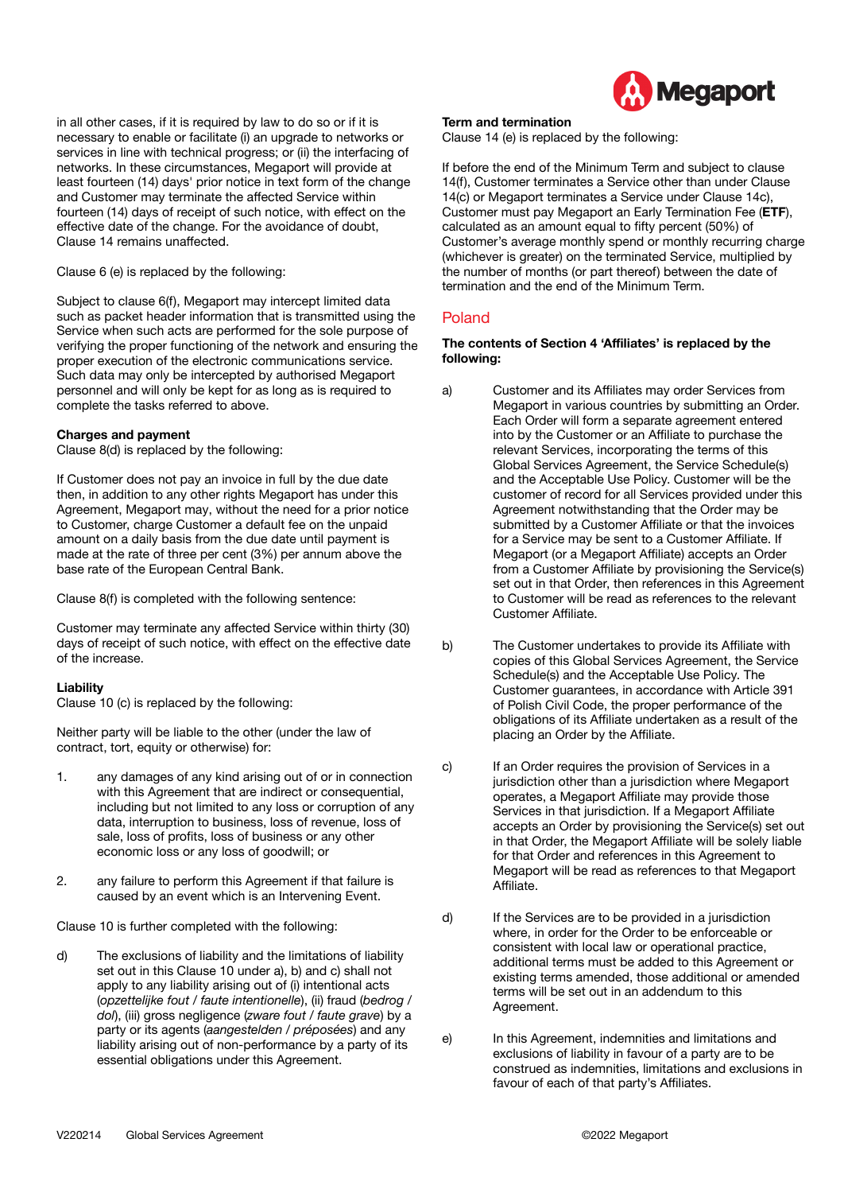

in all other cases, if it is required by law to do so or if it is necessary to enable or facilitate (i) an upgrade to networks or services in line with technical progress; or (ii) the interfacing of networks. In these circumstances, Megaport will provide at least fourteen (14) days' prior notice in text form of the change and Customer may terminate the affected Service within fourteen (14) days of receipt of such notice, with effect on the effective date of the change. For the avoidance of doubt, Clause 14 remains unaffected.

Clause 6 (e) is replaced by the following:

Subject to clause 6(f), Megaport may intercept limited data such as packet header information that is transmitted using the Service when such acts are performed for the sole purpose of verifying the proper functioning of the network and ensuring the proper execution of the electronic communications service. Such data may only be intercepted by authorised Megaport personnel and will only be kept for as long as is required to complete the tasks referred to above.

#### **Charges and payment**

Clause 8(d) is replaced by the following:

If Customer does not pay an invoice in full by the due date then, in addition to any other rights Megaport has under this Agreement, Megaport may, without the need for a prior notice to Customer, charge Customer a default fee on the unpaid amount on a daily basis from the due date until payment is made at the rate of three per cent (3%) per annum above the base rate of the European Central Bank.

Clause 8(f) is completed with the following sentence:

Customer may terminate any affected Service within thirty (30) days of receipt of such notice, with effect on the effective date of the increase.

#### **Liability**

Clause 10 (c) is replaced by the following:

Neither party will be liable to the other (under the law of contract, tort, equity or otherwise) for:

- 1. any damages of any kind arising out of or in connection with this Agreement that are indirect or consequential, including but not limited to any loss or corruption of any data, interruption to business, loss of revenue, loss of sale, loss of profits, loss of business or any other economic loss or any loss of goodwill; or
- 2. any failure to perform this Agreement if that failure is caused by an event which is an Intervening Event.

Clause 10 is further completed with the following:

d) The exclusions of liability and the limitations of liability set out in this Clause 10 under a), b) and c) shall not apply to any liability arising out of (i) intentional acts (*opzettelijke fout / faute intentionelle*), (ii) fraud (*bedrog / dol*), (iii) gross negligence (*zware fout / faute grave*) by a party or its agents (*aangestelden / préposées*) and any liability arising out of non-performance by a party of its essential obligations under this Agreement.

#### **Term and termination**

Clause 14 (e) is replaced by the following:

If before the end of the Minimum Term and subject to clause 14(f), Customer terminates a Service other than under Clause 14(c) or Megaport terminates a Service under Clause 14c), Customer must pay Megaport an Early Termination Fee (**ETF**), calculated as an amount equal to fifty percent (50%) of Customer's average monthly spend or monthly recurring charge (whichever is greater) on the terminated Service, multiplied by the number of months (or part thereof) between the date of termination and the end of the Minimum Term.

# Poland

#### **The contents of Section 4 'Affiliates' is replaced by the following:**

- a) Customer and its Affiliates may order Services from Megaport in various countries by submitting an Order. Each Order will form a separate agreement entered into by the Customer or an Affiliate to purchase the relevant Services, incorporating the terms of this Global Services Agreement, the Service Schedule(s) and the Acceptable Use Policy. Customer will be the customer of record for all Services provided under this Agreement notwithstanding that the Order may be submitted by a Customer Affiliate or that the invoices for a Service may be sent to a Customer Affiliate. If Megaport (or a Megaport Affiliate) accepts an Order from a Customer Affiliate by provisioning the Service(s) set out in that Order, then references in this Agreement to Customer will be read as references to the relevant Customer Affiliate.
- b) The Customer undertakes to provide its Affiliate with copies of this Global Services Agreement, the Service Schedule(s) and the Acceptable Use Policy. The Customer guarantees, in accordance with Article 391 of Polish Civil Code, the proper performance of the obligations of its Affiliate undertaken as a result of the placing an Order by the Affiliate.
- c) If an Order requires the provision of Services in a jurisdiction other than a jurisdiction where Megaport operates, a Megaport Affiliate may provide those Services in that jurisdiction. If a Megaport Affiliate accepts an Order by provisioning the Service(s) set out in that Order, the Megaport Affiliate will be solely liable for that Order and references in this Agreement to Megaport will be read as references to that Megaport Affiliate.
- d) If the Services are to be provided in a jurisdiction where, in order for the Order to be enforceable or consistent with local law or operational practice, additional terms must be added to this Agreement or existing terms amended, those additional or amended terms will be set out in an addendum to this Agreement.
- e) In this Agreement, indemnities and limitations and exclusions of liability in favour of a party are to be construed as indemnities, limitations and exclusions in favour of each of that party's Affiliates.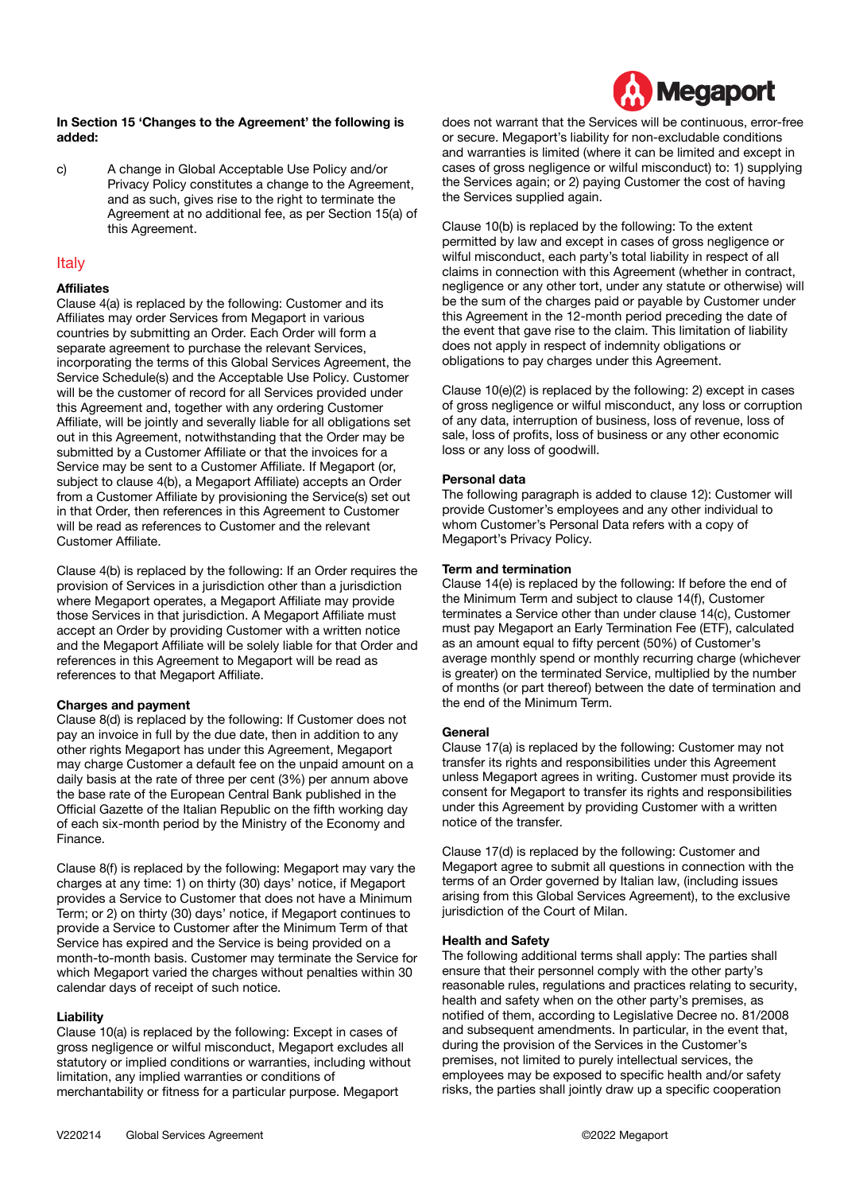

#### **In Section 15 'Changes to the Agreement' the following is added:**

c) A change in Global Acceptable Use Policy and/or Privacy Policy constitutes a change to the Agreement, and as such, gives rise to the right to terminate the Agreement at no additional fee, as per Section 15(a) of this Agreement.

# **Italy**

#### **Affiliates**

Clause 4(a) is replaced by the following: Customer and its Affiliates may order Services from Megaport in various countries by submitting an Order. Each Order will form a separate agreement to purchase the relevant Services, incorporating the terms of this Global Services Agreement, the Service Schedule(s) and the Acceptable Use Policy. Customer will be the customer of record for all Services provided under this Agreement and, together with any ordering Customer Affiliate, will be jointly and severally liable for all obligations set out in this Agreement, notwithstanding that the Order may be submitted by a Customer Affiliate or that the invoices for a Service may be sent to a Customer Affiliate. If Megaport (or, subject to clause 4(b), a Megaport Affiliate) accepts an Order from a Customer Affiliate by provisioning the Service(s) set out in that Order, then references in this Agreement to Customer will be read as references to Customer and the relevant Customer Affiliate.

Clause 4(b) is replaced by the following: If an Order requires the provision of Services in a jurisdiction other than a jurisdiction where Megaport operates, a Megaport Affiliate may provide those Services in that jurisdiction. A Megaport Affiliate must accept an Order by providing Customer with a written notice and the Megaport Affiliate will be solely liable for that Order and references in this Agreement to Megaport will be read as references to that Megaport Affiliate.

# **Charges and payment**

Clause 8(d) is replaced by the following: If Customer does not pay an invoice in full by the due date, then in addition to any other rights Megaport has under this Agreement, Megaport may charge Customer a default fee on the unpaid amount on a daily basis at the rate of three per cent (3%) per annum above the base rate of the European Central Bank published in the Official Gazette of the Italian Republic on the fifth working day of each six-month period by the Ministry of the Economy and Finance.

Clause 8(f) is replaced by the following: Megaport may vary the charges at any time: 1) on thirty (30) days' notice, if Megaport provides a Service to Customer that does not have a Minimum Term; or 2) on thirty (30) days' notice, if Megaport continues to provide a Service to Customer after the Minimum Term of that Service has expired and the Service is being provided on a month-to-month basis. Customer may terminate the Service for which Megaport varied the charges without penalties within 30 calendar days of receipt of such notice.

#### **Liability**

Clause 10(a) is replaced by the following: Except in cases of gross negligence or wilful misconduct, Megaport excludes all statutory or implied conditions or warranties, including without limitation, any implied warranties or conditions of merchantability or fitness for a particular purpose. Megaport

does not warrant that the Services will be continuous, error-free or secure. Megaport's liability for non-excludable conditions and warranties is limited (where it can be limited and except in cases of gross negligence or wilful misconduct) to: 1) supplying the Services again; or 2) paying Customer the cost of having the Services supplied again.

Clause 10(b) is replaced by the following: To the extent permitted by law and except in cases of gross negligence or wilful misconduct, each party's total liability in respect of all claims in connection with this Agreement (whether in contract, negligence or any other tort, under any statute or otherwise) will be the sum of the charges paid or payable by Customer under this Agreement in the 12-month period preceding the date of the event that gave rise to the claim. This limitation of liability does not apply in respect of indemnity obligations or obligations to pay charges under this Agreement.

Clause 10(e)(2) is replaced by the following: 2) except in cases of gross negligence or wilful misconduct, any loss or corruption of any data, interruption of business, loss of revenue, loss of sale, loss of profits, loss of business or any other economic loss or any loss of goodwill.

#### **Personal data**

The following paragraph is added to clause 12): Customer will provide Customer's employees and any other individual to whom Customer's Personal Data refers with a copy of Megaport's Privacy Policy.

#### **Term and termination**

Clause 14(e) is replaced by the following: If before the end of the Minimum Term and subject to clause 14(f), Customer terminates a Service other than under clause 14(c), Customer must pay Megaport an Early Termination Fee (ETF), calculated as an amount equal to fifty percent (50%) of Customer's average monthly spend or monthly recurring charge (whichever is greater) on the terminated Service, multiplied by the number of months (or part thereof) between the date of termination and the end of the Minimum Term.

# **General**

Clause 17(a) is replaced by the following: Customer may not transfer its rights and responsibilities under this Agreement unless Megaport agrees in writing. Customer must provide its consent for Megaport to transfer its rights and responsibilities under this Agreement by providing Customer with a written notice of the transfer.

Clause 17(d) is replaced by the following: Customer and Megaport agree to submit all questions in connection with the terms of an Order governed by Italian law, (including issues arising from this Global Services Agreement), to the exclusive jurisdiction of the Court of Milan.

#### **Health and Safety**

The following additional terms shall apply: The parties shall ensure that their personnel comply with the other party's reasonable rules, regulations and practices relating to security, health and safety when on the other party's premises, as notified of them, according to Legislative Decree no. 81/2008 and subsequent amendments. In particular, in the event that, during the provision of the Services in the Customer's premises, not limited to purely intellectual services, the employees may be exposed to specific health and/or safety risks, the parties shall jointly draw up a specific cooperation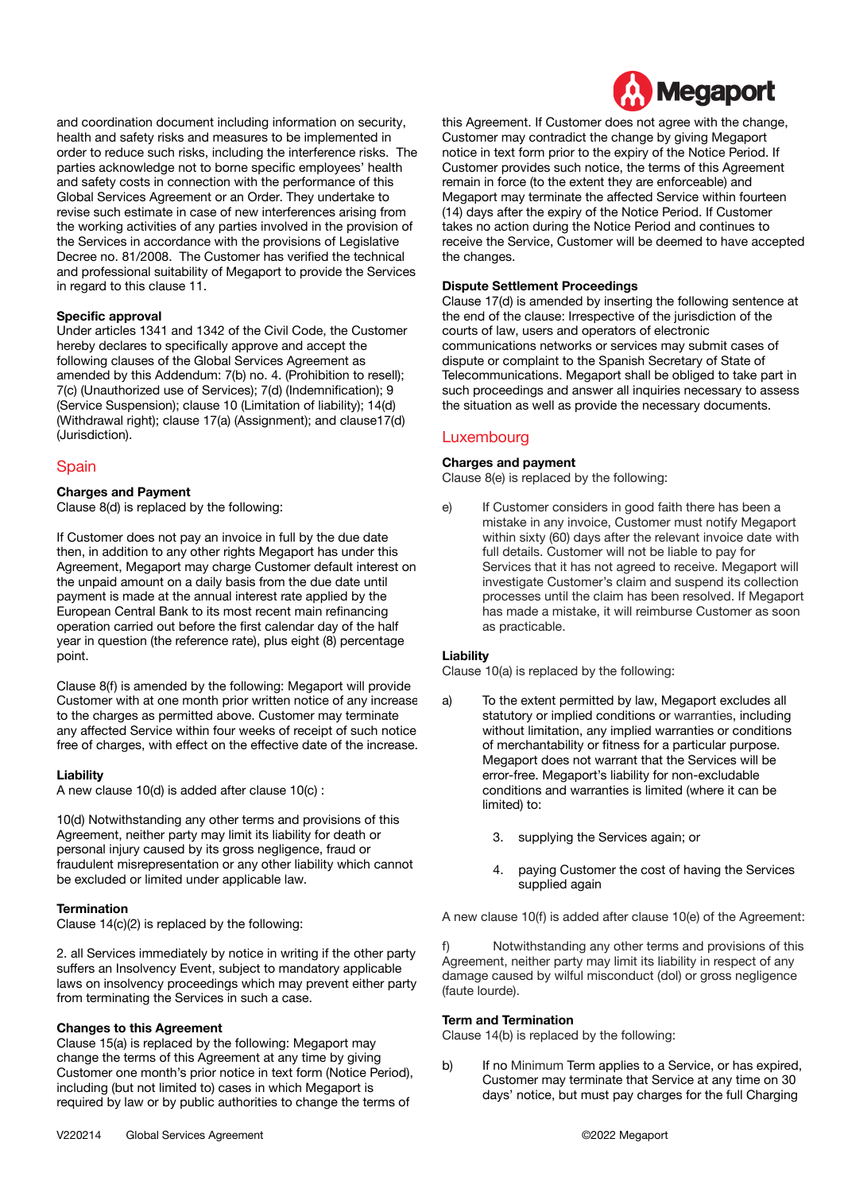

and coordination document including information on security, health and safety risks and measures to be implemented in order to reduce such risks, including the interference risks. The parties acknowledge not to borne specific employees' health and safety costs in connection with the performance of this Global Services Agreement or an Order. They undertake to revise such estimate in case of new interferences arising from the working activities of any parties involved in the provision of the Services in accordance with the provisions of Legislative Decree no. 81/2008. The Customer has verified the technical and professional suitability of Megaport to provide the Services in regard to this clause 11.

#### **Specific approval**

Under articles 1341 and 1342 of the Civil Code, the Customer hereby declares to specifically approve and accept the following clauses of the Global Services Agreement as amended by this Addendum: 7(b) no. 4. (Prohibition to resell); 7(c) (Unauthorized use of Services); 7(d) (Indemnification); 9 (Service Suspension); clause 10 (Limitation of liability); 14(d) (Withdrawal right); clause 17(a) (Assignment); and clause17(d) (Jurisdiction).

# Spain

#### **Charges and Payment**

Clause 8(d) is replaced by the following:

If Customer does not pay an invoice in full by the due date then, in addition to any other rights Megaport has under this Agreement, Megaport may charge Customer default interest on the unpaid amount on a daily basis from the due date until payment is made at the annual interest rate applied by the European Central Bank to its most recent main refinancing operation carried out before the first calendar day of the half year in question (the reference rate), plus eight (8) percentage point.

Clause 8(f) is amended by the following: Megaport will provide Customer with at one month prior written notice of any increase to the charges as permitted above. Customer may terminate any affected Service within four weeks of receipt of such notice free of charges, with effect on the effective date of the increase.

#### **Liability**

A new clause 10(d) is added after clause 10(c) :

10(d) Notwithstanding any other terms and provisions of this Agreement, neither party may limit its liability for death or personal injury caused by its gross negligence, fraud or fraudulent misrepresentation or any other liability which cannot be excluded or limited under applicable law.

#### **Termination**

Clause 14(c)(2) is replaced by the following:

2. all Services immediately by notice in writing if the other party suffers an Insolvency Event, subject to mandatory applicable laws on insolvency proceedings which may prevent either party from terminating the Services in such a case.

#### **Changes to this Agreement**

Clause 15(a) is replaced by the following: Megaport may change the terms of this Agreement at any time by giving Customer one month's prior notice in text form (Notice Period), including (but not limited to) cases in which Megaport is required by law or by public authorities to change the terms of

this Agreement. If Customer does not agree with the change, Customer may contradict the change by giving Megaport notice in text form prior to the expiry of the Notice Period. If Customer provides such notice, the terms of this Agreement remain in force (to the extent they are enforceable) and Megaport may terminate the affected Service within fourteen (14) days after the expiry of the Notice Period. If Customer takes no action during the Notice Period and continues to receive the Service, Customer will be deemed to have accepted the changes.

#### **Dispute Settlement Proceedings**

Clause 17(d) is amended by inserting the following sentence at the end of the clause: Irrespective of the jurisdiction of the courts of law, users and operators of electronic communications networks or services may submit cases of dispute or complaint to the Spanish Secretary of State of Telecommunications. Megaport shall be obliged to take part in such proceedings and answer all inquiries necessary to assess the situation as well as provide the necessary documents.

# Luxembourg

#### **Charges and payment**

Clause 8(e) is replaced by the following:

e) If Customer considers in good faith there has been a mistake in any invoice, Customer must notify Megaport within sixty (60) days after the relevant invoice date with full details. Customer will not be liable to pay for Services that it has not agreed to receive. Megaport will investigate Customer's claim and suspend its collection processes until the claim has been resolved. If Megaport has made a mistake, it will reimburse Customer as soon as practicable.

#### **Liability**

Clause 10(a) is replaced by the following:

- a) To the extent permitted by law, Megaport excludes all statutory or implied conditions or warranties, including without limitation, any implied warranties or conditions of merchantability or fitness for a particular purpose. Megaport does not warrant that the Services will be error-free. Megaport's liability for non-excludable conditions and warranties is limited (where it can be limited) to:
	- 3. supplying the Services again; or
	- 4. paying Customer the cost of having the Services supplied again

A new clause 10(f) is added after clause 10(e) of the Agreement:

f) Notwithstanding any other terms and provisions of this Agreement, neither party may limit its liability in respect of any damage caused by wilful misconduct (dol) or gross negligence (faute lourde).

#### **Term and Termination**

Clause 14(b) is replaced by the following:

b) If no Minimum Term applies to a Service, or has expired, Customer may terminate that Service at any time on 30 days' notice, but must pay charges for the full Charging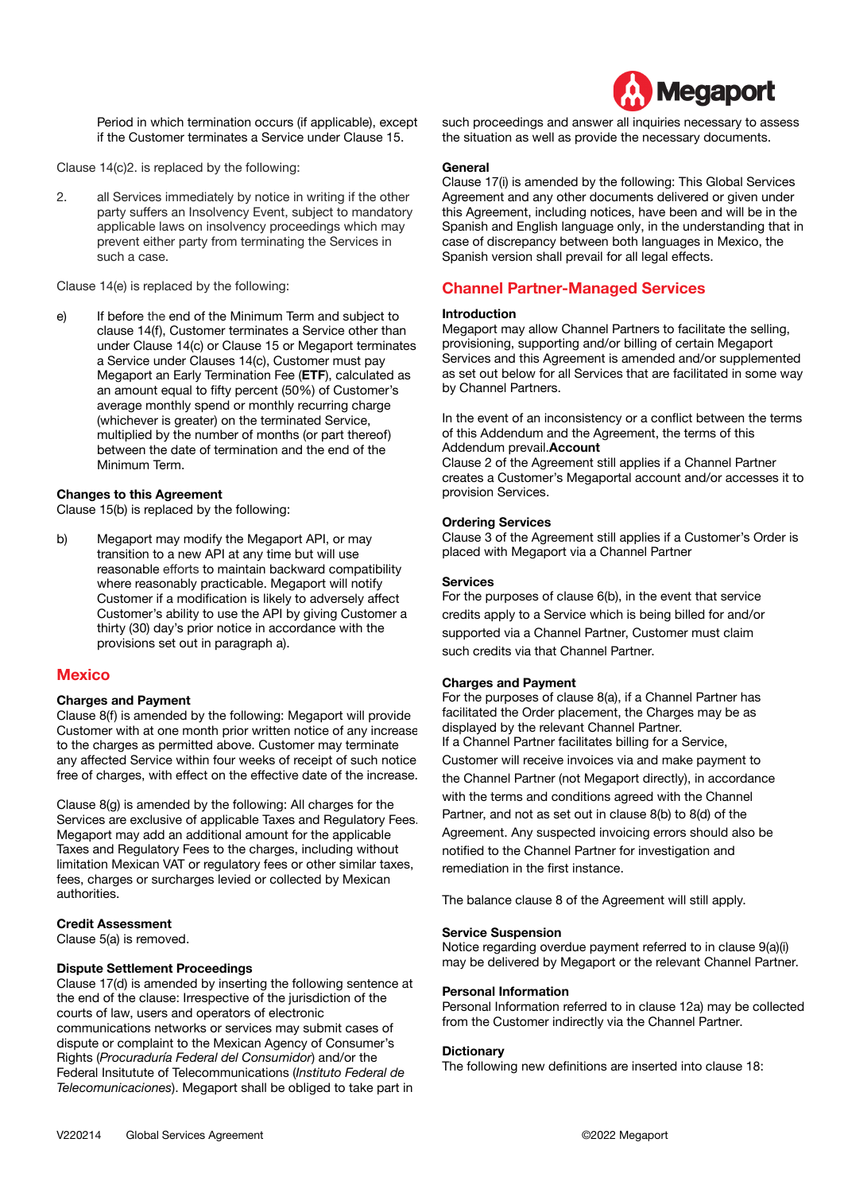

Period in which termination occurs (if applicable), except if the Customer terminates a Service under Clause 15.

Clause 14(c)2. is replaced by the following:

2. all Services immediately by notice in writing if the other party suffers an Insolvency Event, subject to mandatory applicable laws on insolvency proceedings which may prevent either party from terminating the Services in such a case.

Clause 14(e) is replaced by the following:

e) If before the end of the Minimum Term and subject to clause 14(f), Customer terminates a Service other than under Clause 14(c) or Clause 15 or Megaport terminates a Service under Clauses 14(c), Customer must pay Megaport an Early Termination Fee (**ETF**), calculated as an amount equal to fifty percent (50%) of Customer's average monthly spend or monthly recurring charge (whichever is greater) on the terminated Service, multiplied by the number of months (or part thereof) between the date of termination and the end of the Minimum Term.

#### **Changes to this Agreement**

Clause 15(b) is replaced by the following:

b) Megaport may modify the Megaport API, or may transition to a new API at any time but will use reasonable efforts to maintain backward compatibility where reasonably practicable. Megaport will notify Customer if a modification is likely to adversely affect Customer's ability to use the API by giving Customer a thirty (30) day's prior notice in accordance with the provisions set out in paragraph a).

#### **Mexico**

#### **Charges and Payment**

Clause 8(f) is amended by the following: Megaport will provide Customer with at one month prior written notice of any increase to the charges as permitted above. Customer may terminate any affected Service within four weeks of receipt of such notice free of charges, with effect on the effective date of the increase.

Clause 8(g) is amended by the following: All charges for the Services are exclusive of applicable Taxes and Regulatory Fees. Megaport may add an additional amount for the applicable Taxes and Regulatory Fees to the charges, including without limitation Mexican VAT or regulatory fees or other similar taxes, fees, charges or surcharges levied or collected by Mexican authorities.

#### **Credit Assessment**

Clause 5(a) is removed.

#### **Dispute Settlement Proceedings**

Clause 17(d) is amended by inserting the following sentence at the end of the clause: Irrespective of the jurisdiction of the courts of law, users and operators of electronic communications networks or services may submit cases of dispute or complaint to the Mexican Agency of Consumer's Rights (*Procuraduría Federal del Consumidor*) and/or the Federal Insitutute of Telecommunications (*Instituto Federal de Telecomunicaciones*). Megaport shall be obliged to take part in such proceedings and answer all inquiries necessary to assess the situation as well as provide the necessary documents.

#### **General**

Clause 17(i) is amended by the following: This Global Services Agreement and any other documents delivered or given under this Agreement, including notices, have been and will be in the Spanish and English language only, in the understanding that in case of discrepancy between both languages in Mexico, the Spanish version shall prevail for all legal effects.

# **Channel Partner-Managed Services**

#### **Introduction**

Megaport may allow Channel Partners to facilitate the selling, provisioning, supporting and/or billing of certain Megaport Services and this Agreement is amended and/or supplemented as set out below for all Services that are facilitated in some way by Channel Partners.

In the event of an inconsistency or a conflict between the terms of this Addendum and the Agreement, the terms of this Addendum prevail.**Account**

Clause 2 of the Agreement still applies if a Channel Partner creates a Customer's Megaportal account and/or accesses it to provision Services.

#### **Ordering Services**

Clause 3 of the Agreement still applies if a Customer's Order is placed with Megaport via a Channel Partner

#### **Services**

For the purposes of clause 6(b), in the event that service credits apply to a Service which is being billed for and/or supported via a Channel Partner, Customer must claim such credits via that Channel Partner.

#### **Charges and Payment**

For the purposes of clause 8(a), if a Channel Partner has facilitated the Order placement, the Charges may be as displayed by the relevant Channel Partner. If a Channel Partner facilitates billing for a Service, Customer will receive invoices via and make payment to the Channel Partner (not Megaport directly), in accordance with the terms and conditions agreed with the Channel Partner, and not as set out in clause 8(b) to 8(d) of the Agreement. Any suspected invoicing errors should also be notified to the Channel Partner for investigation and remediation in the first instance.

The balance clause 8 of the Agreement will still apply.

#### **Service Suspension**

Notice regarding overdue payment referred to in clause 9(a)(i) may be delivered by Megaport or the relevant Channel Partner.

#### **Personal Information**

Personal Information referred to in clause 12a) may be collected from the Customer indirectly via the Channel Partner.

#### **Dictionary**

The following new definitions are inserted into clause 18: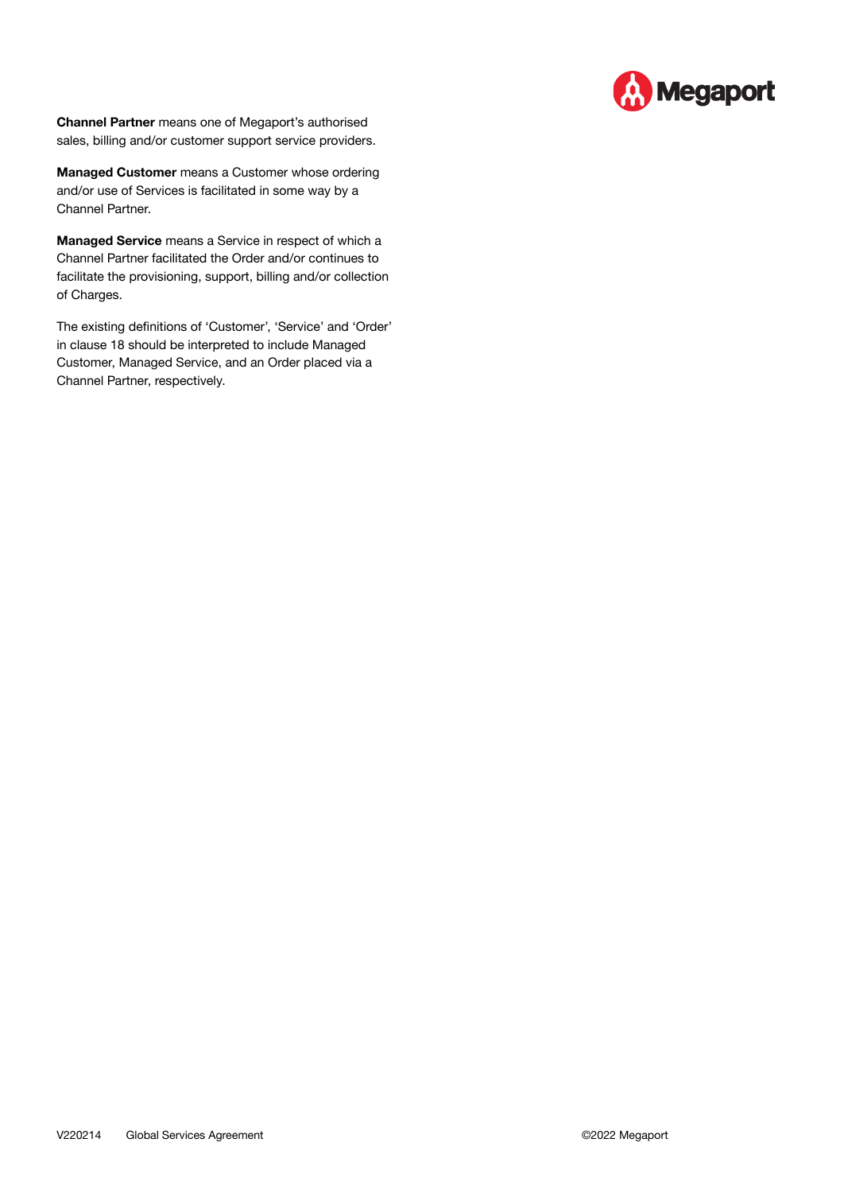

**Channel Partner** means one of Megaport's authorised sales, billing and/or customer support service providers.

**Managed Customer** means a Customer whose ordering and/or use of Services is facilitated in some way by a Channel Partner.

**Managed Service** means a Service in respect of which a Channel Partner facilitated the Order and/or continues to facilitate the provisioning, support, billing and/or collection of Charges.

The existing definitions of 'Customer', 'Service' and 'Order' in clause 18 should be interpreted to include Managed Customer, Managed Service, and an Order placed via a Channel Partner, respectively.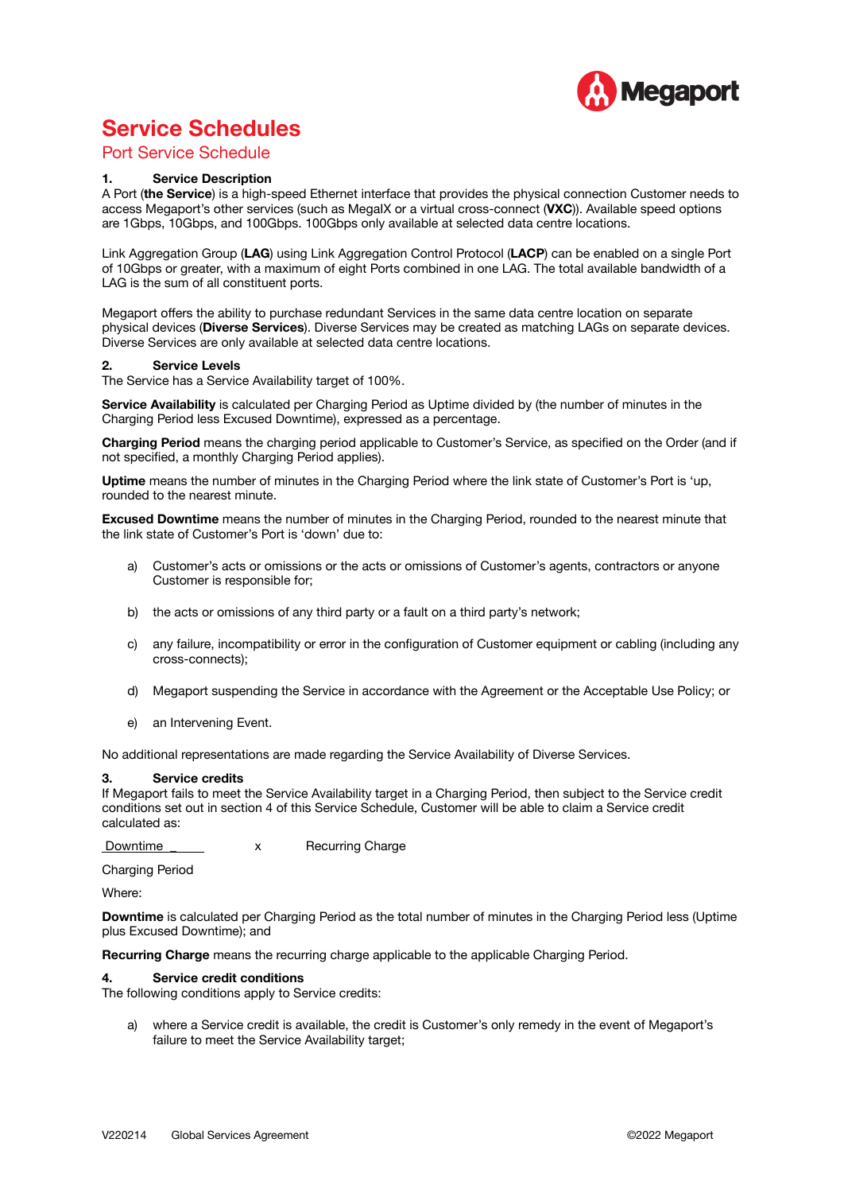

# **Service Schedules**

# Port Service Schedule

#### **1. Service Description**

A Port (**the Service**) is a high-speed Ethernet interface that provides the physical connection Customer needs to access Megaport's other services (such as MegaIX or a virtual cross-connect (**VXC**)). Available speed options are 1Gbps, 10Gbps, and 100Gbps. 100Gbps only available at selected data centre locations.

Link Aggregation Group (**LAG**) using Link Aggregation Control Protocol (**LACP**) can be enabled on a single Port of 10Gbps or greater, with a maximum of eight Ports combined in one LAG. The total available bandwidth of a LAG is the sum of all constituent ports.

Megaport offers the ability to purchase redundant Services in the same data centre location on separate physical devices (**Diverse Services**). Diverse Services may be created as matching LAGs on separate devices. Diverse Services are only available at selected data centre locations.

#### **2. Service Levels**

The Service has a Service Availability target of 100%.

**Service Availability** is calculated per Charging Period as Uptime divided by (the number of minutes in the Charging Period less Excused Downtime), expressed as a percentage.

**Charging Period** means the charging period applicable to Customer's Service, as specified on the Order (and if not specified, a monthly Charging Period applies).

**Uptime** means the number of minutes in the Charging Period where the link state of Customer's Port is 'up, rounded to the nearest minute.

**Excused Downtime** means the number of minutes in the Charging Period, rounded to the nearest minute that the link state of Customer's Port is 'down' due to:

- a) Customer's acts or omissions or the acts or omissions of Customer's agents, contractors or anyone Customer is responsible for;
- b) the acts or omissions of any third party or a fault on a third party's network;
- c) any failure, incompatibility or error in the configuration of Customer equipment or cabling (including any cross-connects);
- d) Megaport suspending the Service in accordance with the Agreement or the Acceptable Use Policy; or
- e) an Intervening Event.

No additional representations are made regarding the Service Availability of Diverse Services.

#### **3. Service credits**

If Megaport fails to meet the Service Availability target in a Charging Period, then subject to the Service credit conditions set out in section 4 of this Service Schedule, Customer will be able to claim a Service credit calculated as:

Downtime **x** Recurring Charge

Charging Period

Where:

**Downtime** is calculated per Charging Period as the total number of minutes in the Charging Period less (Uptime plus Excused Downtime); and

**Recurring Charge** means the recurring charge applicable to the applicable Charging Period.

#### **4. Service credit conditions**

The following conditions apply to Service credits:

a) where a Service credit is available, the credit is Customer's only remedy in the event of Megaport's failure to meet the Service Availability target;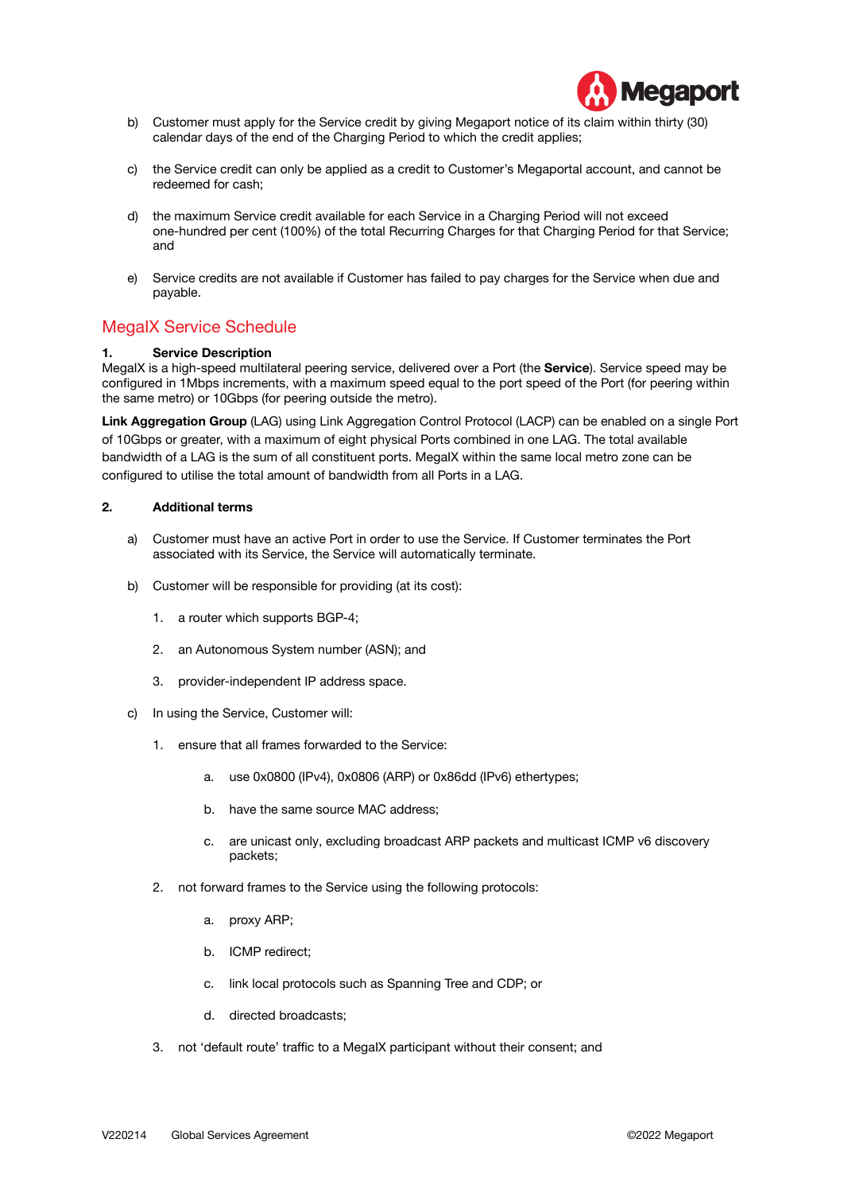

- b) Customer must apply for the Service credit by giving Megaport notice of its claim within thirty (30) calendar days of the end of the Charging Period to which the credit applies;
- c) the Service credit can only be applied as a credit to Customer's Megaportal account, and cannot be redeemed for cash;
- d) the maximum Service credit available for each Service in a Charging Period will not exceed one-hundred per cent (100%) of the total Recurring Charges for that Charging Period for that Service; and
- e) Service credits are not available if Customer has failed to pay charges for the Service when due and payable.

# MegaIX Service Schedule

#### **1. Service Description**

MegaIX is a high-speed multilateral peering service, delivered over a Port (the **Service**). Service speed may be configured in 1Mbps increments, with a maximum speed equal to the port speed of the Port (for peering within the same metro) or 10Gbps (for peering outside the metro).

**Link Aggregation Group** (LAG) using Link Aggregation Control Protocol (LACP) can be enabled on a single Port of 10Gbps or greater, with a maximum of eight physical Ports combined in one LAG. The total available bandwidth of a LAG is the sum of all constituent ports. MegaIX within the same local metro zone can be configured to utilise the total amount of bandwidth from all Ports in a LAG.

#### **2. Additional terms**

- a) Customer must have an active Port in order to use the Service. If Customer terminates the Port associated with its Service, the Service will automatically terminate.
- b) Customer will be responsible for providing (at its cost):
	- 1. a router which supports BGP-4;
	- 2. an Autonomous System number (ASN); and
	- 3. provider-independent IP address space.
- c) In using the Service, Customer will:
	- 1. ensure that all frames forwarded to the Service:
		- a. use 0x0800 (IPv4), 0x0806 (ARP) or 0x86dd (IPv6) ethertypes;
		- b. have the same source MAC address;
		- c. are unicast only, excluding broadcast ARP packets and multicast ICMP v6 discovery packets;
	- 2. not forward frames to the Service using the following protocols:
		- a. proxy ARP;
		- b. ICMP redirect;
		- c. link local protocols such as Spanning Tree and CDP; or
		- d. directed broadcasts;
	- 3. not 'default route' traffic to a MegaIX participant without their consent; and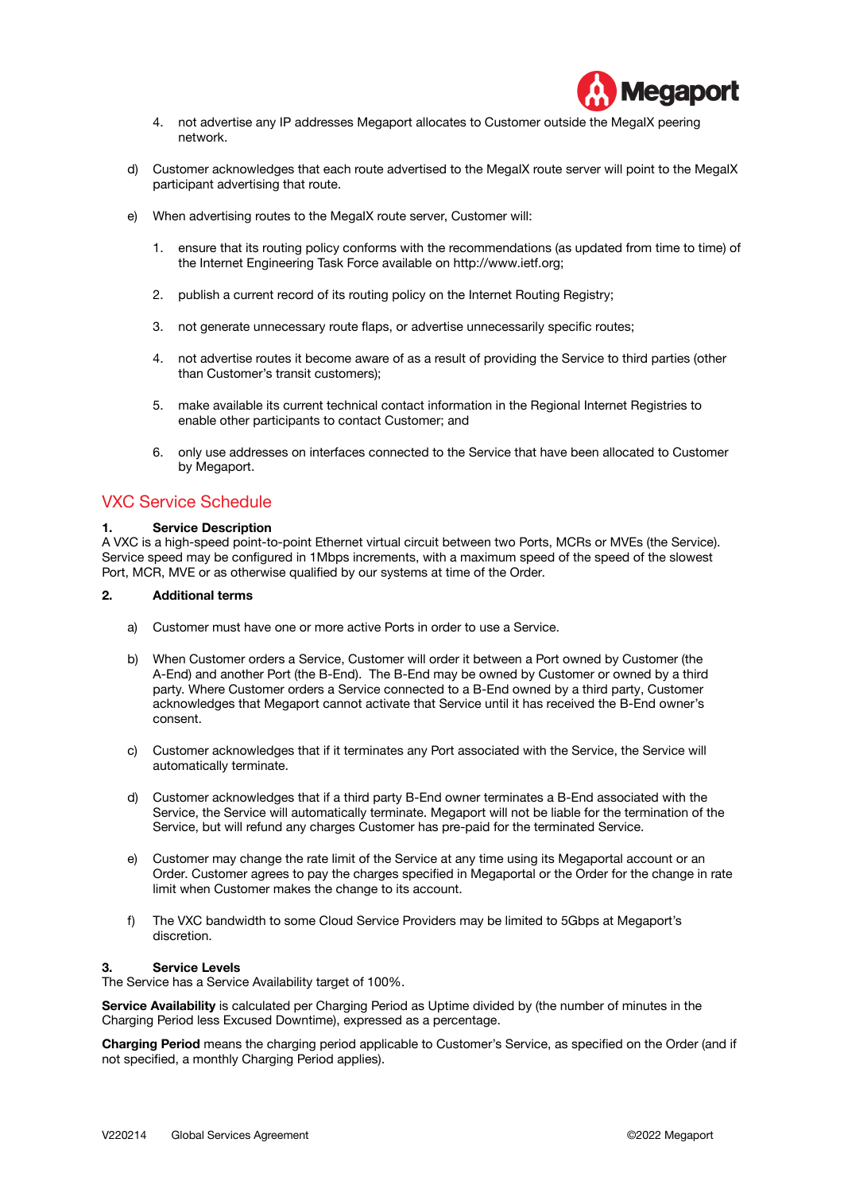

- 4. not advertise any IP addresses Megaport allocates to Customer outside the MegaIX peering network.
- d) Customer acknowledges that each route advertised to the MegaIX route server will point to the MegaIX participant advertising that route.
- e) When advertising routes to the MegaIX route server, Customer will:
	- 1. ensure that its routing policy conforms with the recommendations (as updated from time to time) of the Internet Engineering Task Force available on [http://www.ietf.org;](http://www.ietf.org)
	- 2. publish a current record of its routing policy on the Internet Routing Registry;
	- 3. not generate unnecessary route flaps, or advertise unnecessarily specific routes;
	- 4. not advertise routes it become aware of as a result of providing the Service to third parties (other than Customer's transit customers);
	- 5. make available its current technical contact information in the Regional Internet Registries to enable other participants to contact Customer; and
	- 6. only use addresses on interfaces connected to the Service that have been allocated to Customer by Megaport.

# VXC Service Schedule

#### **1. Service Description**

A VXC is a high-speed point-to-point Ethernet virtual circuit between two Ports, MCRs or MVEs (the Service). Service speed may be configured in 1Mbps increments, with a maximum speed of the speed of the slowest Port, MCR, MVE or as otherwise qualified by our systems at time of the Order.

#### **2. Additional terms**

- a) Customer must have one or more active Ports in order to use a Service.
- b) When Customer orders a Service, Customer will order it between a Port owned by Customer (the A-End) and another Port (the B-End). The B-End may be owned by Customer or owned by a third party. Where Customer orders a Service connected to a B-End owned by a third party, Customer acknowledges that Megaport cannot activate that Service until it has received the B-End owner's consent.
- c) Customer acknowledges that if it terminates any Port associated with the Service, the Service will automatically terminate.
- d) Customer acknowledges that if a third party B-End owner terminates a B-End associated with the Service, the Service will automatically terminate. Megaport will not be liable for the termination of the Service, but will refund any charges Customer has pre-paid for the terminated Service.
- e) Customer may change the rate limit of the Service at any time using its Megaportal account or an Order. Customer agrees to pay the charges specified in Megaportal or the Order for the change in rate limit when Customer makes the change to its account.
- f) The VXC bandwidth to some Cloud Service Providers may be limited to 5Gbps at Megaport's discretion.

#### **3. Service Levels**

The Service has a Service Availability target of 100%.

**Service Availability** is calculated per Charging Period as Uptime divided by (the number of minutes in the Charging Period less Excused Downtime), expressed as a percentage.

**Charging Period** means the charging period applicable to Customer's Service, as specified on the Order (and if not specified, a monthly Charging Period applies).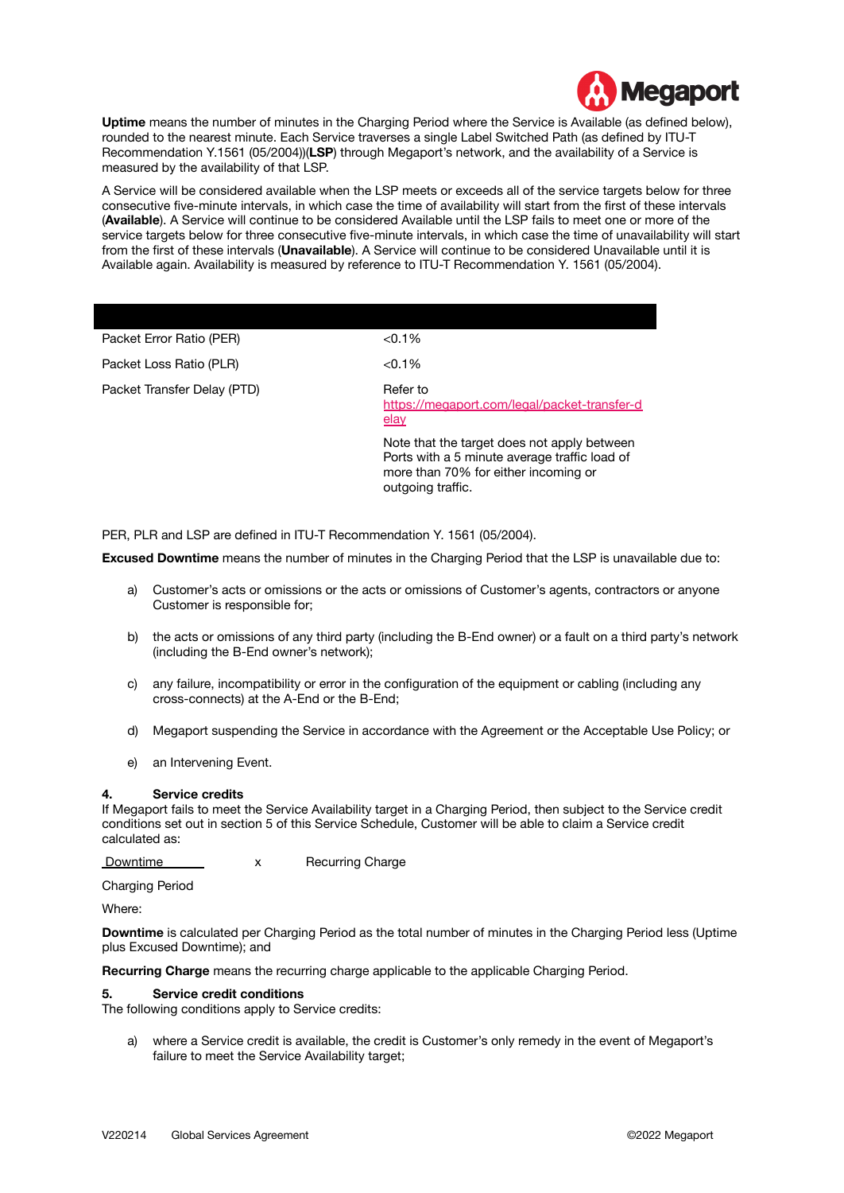

**Uptime** means the number of minutes in the Charging Period where the Service is Available (as defined below), rounded to the nearest minute. Each Service traverses a single Label Switched Path (as defined by ITU-T Recommendation Y.1561 (05/2004))(**LSP**) through Megaport's network, and the availability of a Service is measured by the availability of that LSP.

A Service will be considered available when the LSP meets or exceeds all of the service targets below for three consecutive five-minute intervals, in which case the time of availability will start from the first of these intervals (**Available**). A Service will continue to be considered Available until the LSP fails to meet one or more of the service targets below for three consecutive five-minute intervals, in which case the time of unavailability will start from the first of these intervals (**Unavailable**). A Service will continue to be considered Unavailable until it is Available again. Availability is measured by reference to ITU-T Recommendation Y. 1561 (05/2004).

| Packet Error Ratio (PER)    | < 0.1%                                                                                                                                                    |
|-----------------------------|-----------------------------------------------------------------------------------------------------------------------------------------------------------|
| Packet Loss Ratio (PLR)     | $< 0.1\%$                                                                                                                                                 |
| Packet Transfer Delay (PTD) | Refer to<br>https://megaport.com/legal/packet-transfer-d<br>elay                                                                                          |
|                             | Note that the target does not apply between<br>Ports with a 5 minute average traffic load of<br>more than 70% for either incoming or<br>outgoing traffic. |

PER, PLR and LSP are defined in ITU-T Recommendation Y. 1561 (05/2004).

**Excused Downtime** means the number of minutes in the Charging Period that the LSP is unavailable due to:

- a) Customer's acts or omissions or the acts or omissions of Customer's agents, contractors or anyone Customer is responsible for;
- b) the acts or omissions of any third party (including the B-End owner) or a fault on a third party's network (including the B-End owner's network);
- c) any failure, incompatibility or error in the configuration of the equipment or cabling (including any cross-connects) at the A-End or the B-End;
- d) Megaport suspending the Service in accordance with the Agreement or the Acceptable Use Policy; or
- e) an Intervening Event.

#### **4. Service credits**

If Megaport fails to meet the Service Availability target in a Charging Period, then subject to the Service credit conditions set out in section 5 of this Service Schedule, Customer will be able to claim a Service credit calculated as:

Downtime X Recurring Charge

Charging Period

Where:

**Downtime** is calculated per Charging Period as the total number of minutes in the Charging Period less (Uptime plus Excused Downtime); and

**Recurring Charge** means the recurring charge applicable to the applicable Charging Period.

#### **5. Service credit conditions**

The following conditions apply to Service credits:

a) where a Service credit is available, the credit is Customer's only remedy in the event of Megaport's failure to meet the Service Availability target;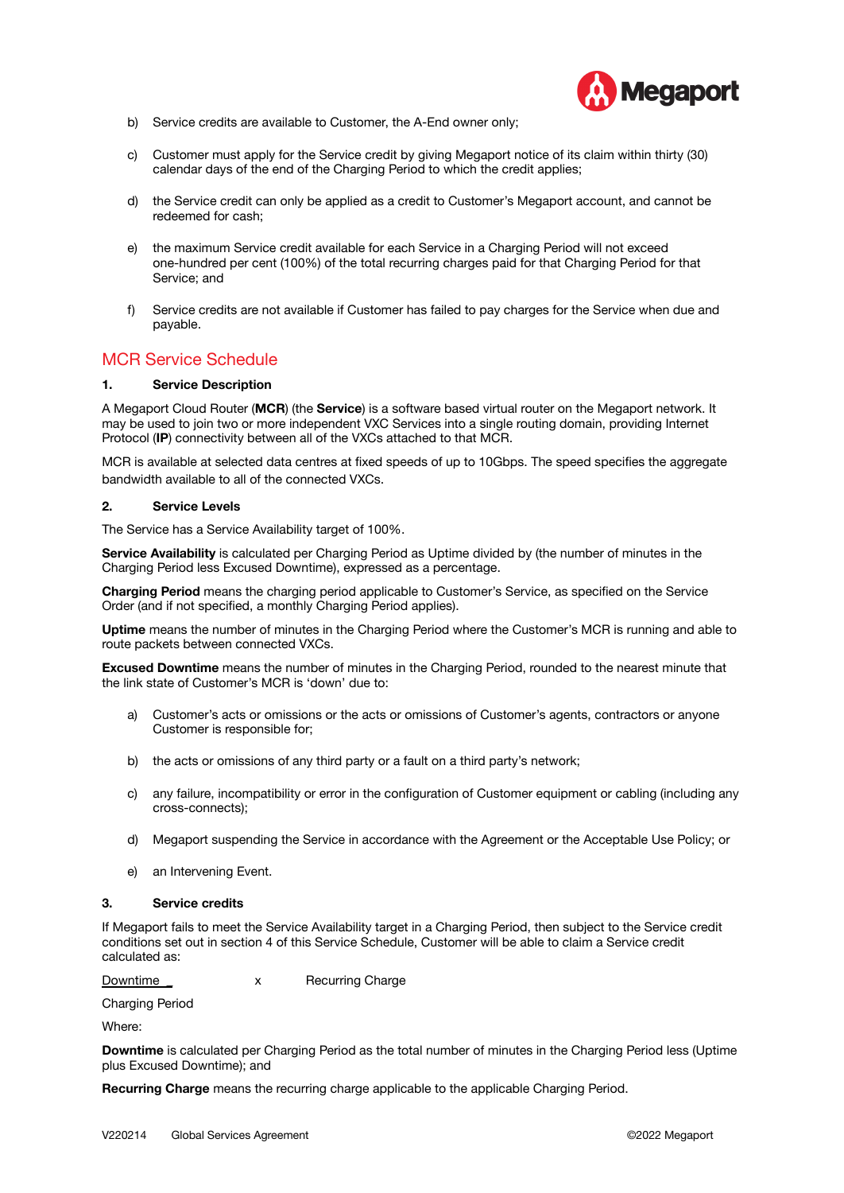

- b) Service credits are available to Customer, the A-End owner only;
- c) Customer must apply for the Service credit by giving Megaport notice of its claim within thirty (30) calendar days of the end of the Charging Period to which the credit applies;
- d) the Service credit can only be applied as a credit to Customer's Megaport account, and cannot be redeemed for cash;
- e) the maximum Service credit available for each Service in a Charging Period will not exceed one-hundred per cent (100%) of the total recurring charges paid for that Charging Period for that Service; and
- f) Service credits are not available if Customer has failed to pay charges for the Service when due and payable.

# MCR Service Schedule

#### **1. Service Description**

A Megaport Cloud Router (**MCR**) (the **Service**) is a software based virtual router on the Megaport network. It may be used to join two or more independent VXC Services into a single routing domain, providing Internet Protocol (**IP**) connectivity between all of the VXCs attached to that MCR.

MCR is available at selected data centres at fixed speeds of up to 10Gbps. The speed specifies the aggregate bandwidth available to all of the connected VXCs.

#### **2. Service Levels**

The Service has a Service Availability target of 100%.

**Service Availability** is calculated per Charging Period as Uptime divided by (the number of minutes in the Charging Period less Excused Downtime), expressed as a percentage.

**Charging Period** means the charging period applicable to Customer's Service, as specified on the Service Order (and if not specified, a monthly Charging Period applies).

**Uptime** means the number of minutes in the Charging Period where the Customer's MCR is running and able to route packets between connected VXCs.

**Excused Downtime** means the number of minutes in the Charging Period, rounded to the nearest minute that the link state of Customer's MCR is 'down' due to:

- a) Customer's acts or omissions or the acts or omissions of Customer's agents, contractors or anyone Customer is responsible for;
- b) the acts or omissions of any third party or a fault on a third party's network;
- c) any failure, incompatibility or error in the configuration of Customer equipment or cabling (including any cross-connects);
- d) Megaport suspending the Service in accordance with the Agreement or the Acceptable Use Policy; or
- e) an Intervening Event.

#### **3. Service credits**

If Megaport fails to meet the Service Availability target in a Charging Period, then subject to the Service credit conditions set out in section 4 of this Service Schedule, Customer will be able to claim a Service credit calculated as:

Downtime \_ x Recurring Charge

Charging Period

Where:

**Downtime** is calculated per Charging Period as the total number of minutes in the Charging Period less (Uptime plus Excused Downtime); and

**Recurring Charge** means the recurring charge applicable to the applicable Charging Period.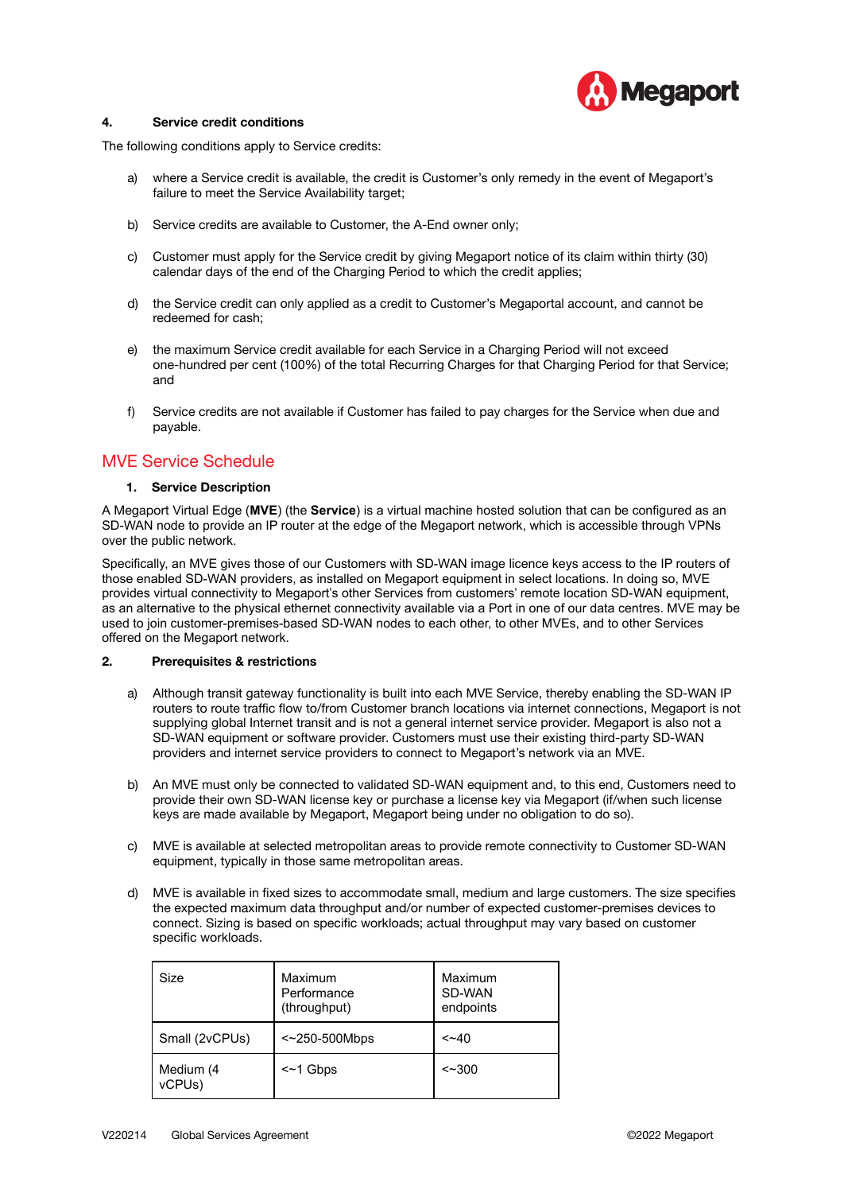

#### **4. Service credit conditions**

The following conditions apply to Service credits:

- a) where a Service credit is available, the credit is Customer's only remedy in the event of Megaport's failure to meet the Service Availability target;
- b) Service credits are available to Customer, the A-End owner only;
- c) Customer must apply for the Service credit by giving Megaport notice of its claim within thirty (30) calendar days of the end of the Charging Period to which the credit applies;
- d) the Service credit can only applied as a credit to Customer's Megaportal account, and cannot be redeemed for cash;
- e) the maximum Service credit available for each Service in a Charging Period will not exceed one-hundred per cent (100%) of the total Recurring Charges for that Charging Period for that Service; and
- f) Service credits are not available if Customer has failed to pay charges for the Service when due and payable.

# MVE Service Schedule

#### **1. Service Description**

A Megaport Virtual Edge (**MVE**) (the **Service**) is a virtual machine hosted solution that can be configured as an SD-WAN node to provide an IP router at the edge of the Megaport network, which is accessible through VPNs over the public network.

Specifically, an MVE gives those of our Customers with SD-WAN image licence keys access to the IP routers of those enabled SD-WAN providers, as installed on Megaport equipment in select locations. In doing so, MVE provides virtual connectivity to Megaport's other Services from customers' remote location SD-WAN equipment, as an alternative to the physical ethernet connectivity available via a Port in one of our data centres. MVE may be used to join customer-premises-based SD-WAN nodes to each other, to other MVEs, and to other Services offered on the Megaport network.

#### **2. Prerequisites & restrictions**

- a) Although transit gateway functionality is built into each MVE Service, thereby enabling the SD-WAN IP routers to route traffic flow to/from Customer branch locations via internet connections, Megaport is not supplying global Internet transit and is not a general internet service provider. Megaport is also not a SD-WAN equipment or software provider. Customers must use their existing third-party SD-WAN providers and internet service providers to connect to Megaport's network via an MVE.
- b) An MVE must only be connected to validated SD-WAN equipment and, to this end, Customers need to provide their own SD-WAN license key or purchase a license key via Megaport (if/when such license keys are made available by Megaport, Megaport being under no obligation to do so).
- c) MVE is available at selected metropolitan areas to provide remote connectivity to Customer SD-WAN equipment, typically in those same metropolitan areas.
- d) MVE is available in fixed sizes to accommodate small, medium and large customers. The size specifies the expected maximum data throughput and/or number of expected customer-premises devices to connect. Sizing is based on specific workloads; actual throughput may vary based on customer specific workloads.

| Size                | Maximum<br>Performance<br>(throughput) | Maximum<br>SD-WAN<br>endpoints |
|---------------------|----------------------------------------|--------------------------------|
| Small (2vCPUs)      | $<$ -250-500Mbps                       | $<$ -40                        |
| Medium (4<br>vCPUs) | $\sim$ 1 Gbps                          | $\sim$ 300                     |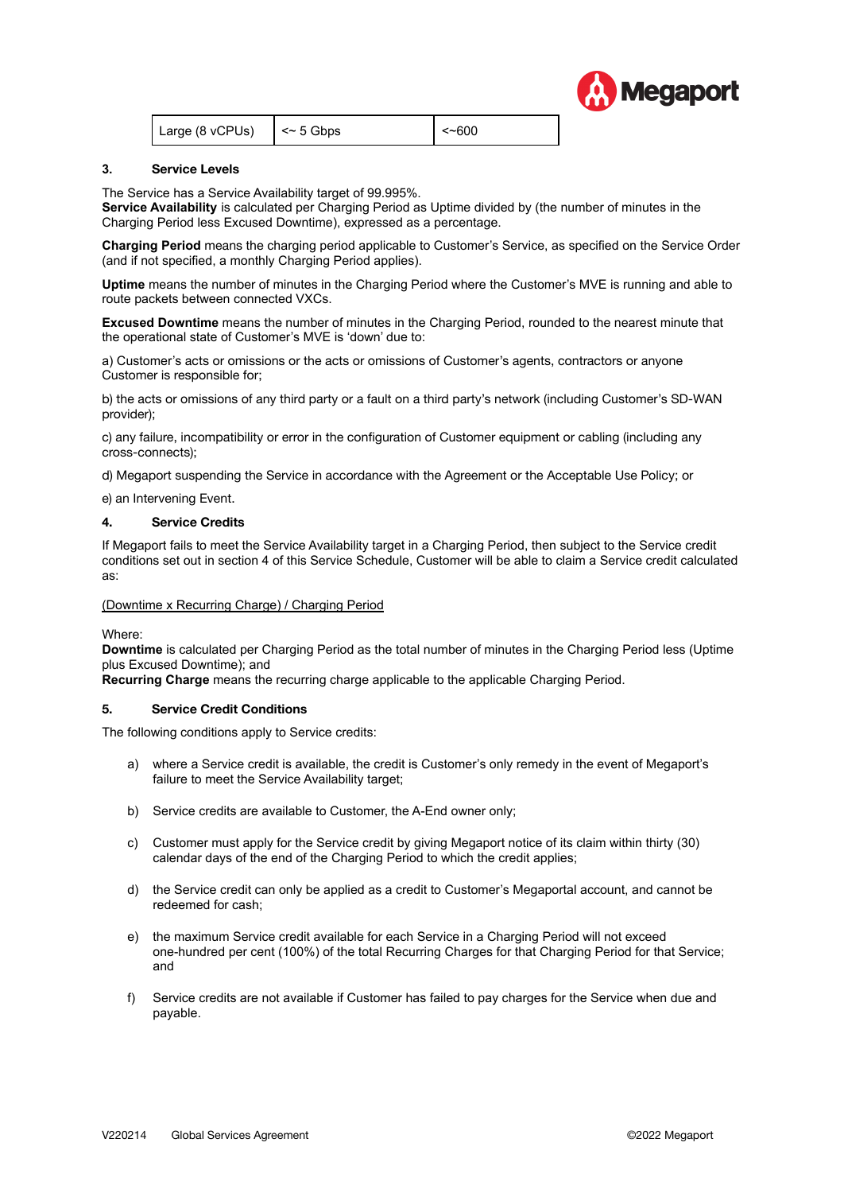

|  | Large (8 vCPUs) | $\vert \sim 5$ Gbps | $\le$ -600 |
|--|-----------------|---------------------|------------|
|--|-----------------|---------------------|------------|

#### **3. Service Levels**

The Service has a Service Availability target of 99.995%.

**Service Availability** is calculated per Charging Period as Uptime divided by (the number of minutes in the Charging Period less Excused Downtime), expressed as a percentage.

**Charging Period** means the charging period applicable to Customer's Service, as specified on the Service Order (and if not specified, a monthly Charging Period applies).

**Uptime** means the number of minutes in the Charging Period where the Customer's MVE is running and able to route packets between connected VXCs.

**Excused Downtime** means the number of minutes in the Charging Period, rounded to the nearest minute that the operational state of Customer's MVE is 'down' due to:

a) Customer's acts or omissions or the acts or omissions of Customer's agents, contractors or anyone Customer is responsible for;

b) the acts or omissions of any third party or a fault on a third party's network (including Customer's SD-WAN provider);

c) any failure, incompatibility or error in the configuration of Customer equipment or cabling (including any cross-connects);

d) Megaport suspending the Service in accordance with the Agreement or the Acceptable Use Policy; or

e) an Intervening Event.

#### **4. Service Credits**

If Megaport fails to meet the Service Availability target in a Charging Period, then subject to the Service credit conditions set out in section 4 of this Service Schedule, Customer will be able to claim a Service credit calculated as:

#### (Downtime x Recurring Charge) / Charging Period

Where:

**Downtime** is calculated per Charging Period as the total number of minutes in the Charging Period less (Uptime plus Excused Downtime); and

**Recurring Charge** means the recurring charge applicable to the applicable Charging Period.

# **5. Service Credit Conditions**

The following conditions apply to Service credits:

- a) where a Service credit is available, the credit is Customer's only remedy in the event of Megaport's failure to meet the Service Availability target;
- b) Service credits are available to Customer, the A-End owner only;
- c) Customer must apply for the Service credit by giving Megaport notice of its claim within thirty (30) calendar days of the end of the Charging Period to which the credit applies;
- d) the Service credit can only be applied as a credit to Customer's Megaportal account, and cannot be redeemed for cash;
- e) the maximum Service credit available for each Service in a Charging Period will not exceed one-hundred per cent (100%) of the total Recurring Charges for that Charging Period for that Service; and
- f) Service credits are not available if Customer has failed to pay charges for the Service when due and payable.